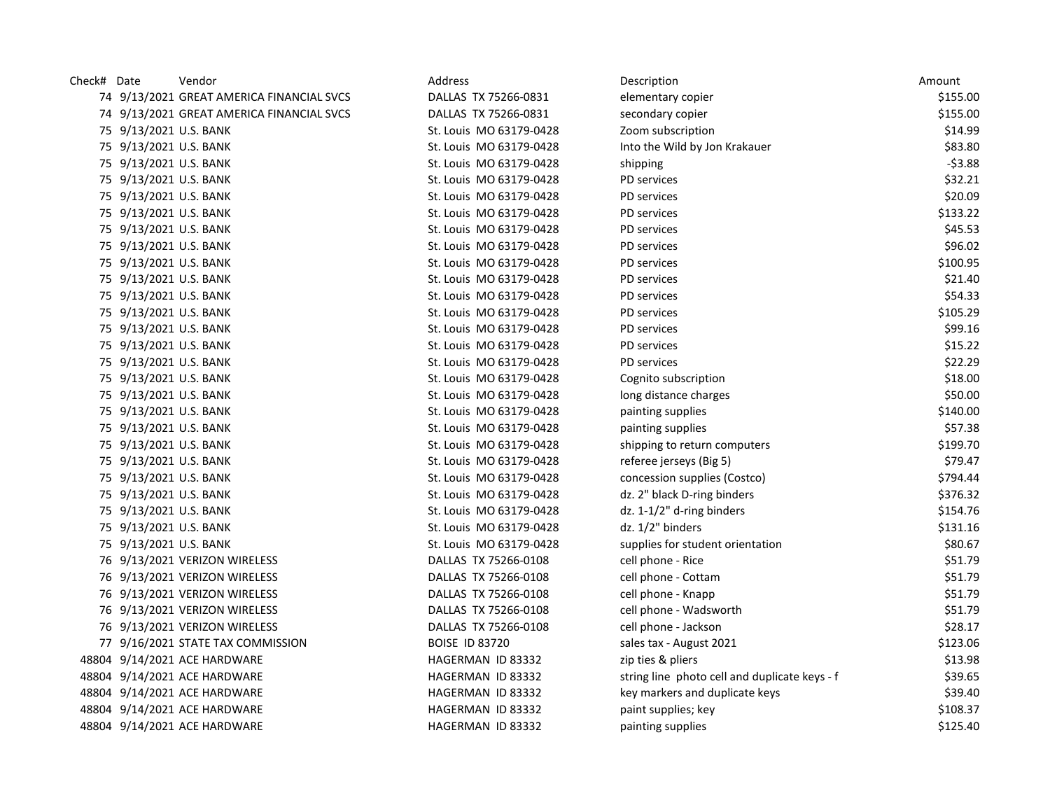| Check# Date |                        | Vendor                                    | Address                 | Description                                   | Amount   |
|-------------|------------------------|-------------------------------------------|-------------------------|-----------------------------------------------|----------|
|             |                        | 74 9/13/2021 GREAT AMERICA FINANCIAL SVCS | DALLAS TX 75266-0831    | elementary copier                             | \$155.00 |
|             |                        | 74 9/13/2021 GREAT AMERICA FINANCIAL SVCS | DALLAS TX 75266-0831    | secondary copier                              | \$155.00 |
|             | 75 9/13/2021 U.S. BANK |                                           | St. Louis MO 63179-0428 | Zoom subscription                             | \$14.99  |
|             | 75 9/13/2021 U.S. BANK |                                           | St. Louis MO 63179-0428 | Into the Wild by Jon Krakauer                 | \$83.80  |
|             | 75 9/13/2021 U.S. BANK |                                           | St. Louis MO 63179-0428 | shipping                                      | $-53.88$ |
|             | 75 9/13/2021 U.S. BANK |                                           | St. Louis MO 63179-0428 | PD services                                   | \$32.21  |
|             | 75 9/13/2021 U.S. BANK |                                           | St. Louis MO 63179-0428 | PD services                                   | \$20.09  |
|             | 75 9/13/2021 U.S. BANK |                                           | St. Louis MO 63179-0428 | PD services                                   | \$133.22 |
|             | 75 9/13/2021 U.S. BANK |                                           | St. Louis MO 63179-0428 | PD services                                   | \$45.53  |
|             | 75 9/13/2021 U.S. BANK |                                           | St. Louis MO 63179-0428 | PD services                                   | \$96.02  |
|             | 75 9/13/2021 U.S. BANK |                                           | St. Louis MO 63179-0428 | PD services                                   | \$100.95 |
|             | 75 9/13/2021 U.S. BANK |                                           | St. Louis MO 63179-0428 | PD services                                   | \$21.40  |
|             | 75 9/13/2021 U.S. BANK |                                           | St. Louis MO 63179-0428 | PD services                                   | \$54.33  |
|             | 75 9/13/2021 U.S. BANK |                                           | St. Louis MO 63179-0428 | PD services                                   | \$105.29 |
|             | 75 9/13/2021 U.S. BANK |                                           | St. Louis MO 63179-0428 | PD services                                   | \$99.16  |
|             | 75 9/13/2021 U.S. BANK |                                           | St. Louis MO 63179-0428 | PD services                                   | \$15.22  |
|             | 75 9/13/2021 U.S. BANK |                                           | St. Louis MO 63179-0428 | PD services                                   | \$22.29  |
|             | 75 9/13/2021 U.S. BANK |                                           | St. Louis MO 63179-0428 | Cognito subscription                          | \$18.00  |
|             | 75 9/13/2021 U.S. BANK |                                           | St. Louis MO 63179-0428 | long distance charges                         | \$50.00  |
|             | 75 9/13/2021 U.S. BANK |                                           | St. Louis MO 63179-0428 | painting supplies                             | \$140.00 |
|             | 75 9/13/2021 U.S. BANK |                                           | St. Louis MO 63179-0428 | painting supplies                             | \$57.38  |
|             | 75 9/13/2021 U.S. BANK |                                           | St. Louis MO 63179-0428 | shipping to return computers                  | \$199.70 |
|             | 75 9/13/2021 U.S. BANK |                                           | St. Louis MO 63179-0428 | referee jerseys (Big 5)                       | \$79.47  |
|             | 75 9/13/2021 U.S. BANK |                                           | St. Louis MO 63179-0428 | concession supplies (Costco)                  | \$794.44 |
|             | 75 9/13/2021 U.S. BANK |                                           | St. Louis MO 63179-0428 | dz. 2" black D-ring binders                   | \$376.32 |
|             | 75 9/13/2021 U.S. BANK |                                           | St. Louis MO 63179-0428 | dz. 1-1/2" d-ring binders                     | \$154.76 |
|             | 75 9/13/2021 U.S. BANK |                                           | St. Louis MO 63179-0428 | dz. 1/2" binders                              | \$131.16 |
|             | 75 9/13/2021 U.S. BANK |                                           | St. Louis MO 63179-0428 | supplies for student orientation              | \$80.67  |
|             |                        | 76 9/13/2021 VERIZON WIRELESS             | DALLAS TX 75266-0108    | cell phone - Rice                             | \$51.79  |
|             |                        | 76 9/13/2021 VERIZON WIRELESS             | DALLAS TX 75266-0108    | cell phone - Cottam                           | \$51.79  |
|             |                        | 76 9/13/2021 VERIZON WIRELESS             | DALLAS TX 75266-0108    | cell phone - Knapp                            | \$51.79  |
|             |                        | 76 9/13/2021 VERIZON WIRELESS             | DALLAS TX 75266-0108    | cell phone - Wadsworth                        | \$51.79  |
|             |                        | 76 9/13/2021 VERIZON WIRELESS             | DALLAS TX 75266-0108    | cell phone - Jackson                          | \$28.17  |
|             |                        | 77 9/16/2021 STATE TAX COMMISSION         | <b>BOISE ID 83720</b>   | sales tax - August 2021                       | \$123.06 |
|             |                        | 48804 9/14/2021 ACE HARDWARE              | HAGERMAN ID 83332       | zip ties & pliers                             | \$13.98  |
|             |                        | 48804 9/14/2021 ACE HARDWARE              | HAGERMAN ID 83332       | string line photo cell and duplicate keys - f | \$39.65  |
|             |                        | 48804 9/14/2021 ACE HARDWARE              | HAGERMAN ID 83332       | key markers and duplicate keys                | \$39.40  |
|             |                        | 48804 9/14/2021 ACE HARDWARE              | HAGERMAN ID 83332       | paint supplies; key                           | \$108.37 |
|             |                        | 48804 9/14/2021 ACE HARDWARE              | HAGERMAN ID 83332       | painting supplies                             | \$125.40 |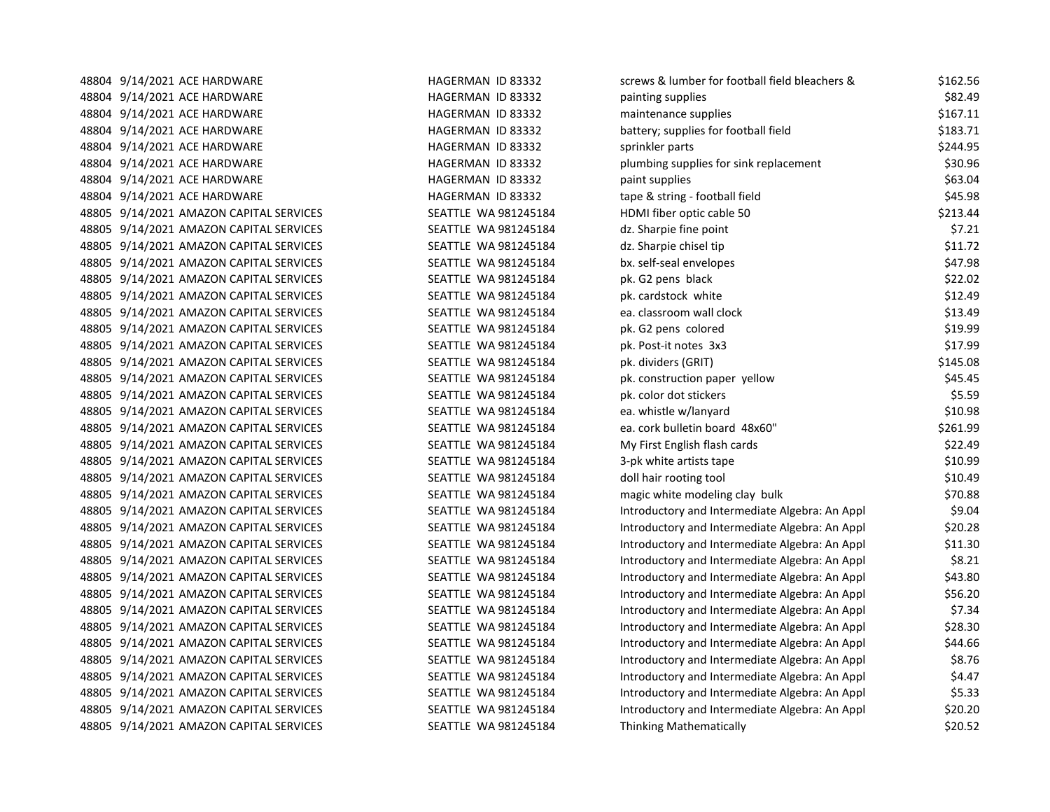| 48804 9/14/2021 ACE HARDWARE            | HAGERMAN ID 83332    | screws & lumber for football field bleachers & | \$162.56 |
|-----------------------------------------|----------------------|------------------------------------------------|----------|
| 48804 9/14/2021 ACE HARDWARE            | HAGERMAN ID 83332    | painting supplies                              | \$82.49  |
| 48804 9/14/2021 ACE HARDWARE            | HAGERMAN ID 83332    | maintenance supplies                           | \$167.11 |
| 48804 9/14/2021 ACE HARDWARE            | HAGERMAN ID 83332    | battery; supplies for football field           | \$183.71 |
| 48804 9/14/2021 ACE HARDWARE            | HAGERMAN ID 83332    | sprinkler parts                                | \$244.95 |
| 48804 9/14/2021 ACE HARDWARE            | HAGERMAN ID 83332    | plumbing supplies for sink replacement         | \$30.96  |
| 48804 9/14/2021 ACE HARDWARE            | HAGERMAN ID 83332    | paint supplies                                 | \$63.04  |
| 48804 9/14/2021 ACE HARDWARE            | HAGERMAN ID 83332    | tape & string - football field                 | \$45.98  |
| 48805 9/14/2021 AMAZON CAPITAL SERVICES | SEATTLE WA 981245184 | HDMI fiber optic cable 50                      | \$213.44 |
| 48805 9/14/2021 AMAZON CAPITAL SERVICES | SEATTLE WA 981245184 | dz. Sharpie fine point                         | \$7.21   |
| 48805 9/14/2021 AMAZON CAPITAL SERVICES | SEATTLE WA 981245184 | dz. Sharpie chisel tip                         | \$11.72  |
| 48805 9/14/2021 AMAZON CAPITAL SERVICES | SEATTLE WA 981245184 | bx. self-seal envelopes                        | \$47.98  |
| 48805 9/14/2021 AMAZON CAPITAL SERVICES | SEATTLE WA 981245184 | pk. G2 pens black                              | \$22.02  |
| 48805 9/14/2021 AMAZON CAPITAL SERVICES | SEATTLE WA 981245184 | pk. cardstock white                            | \$12.49  |
| 48805 9/14/2021 AMAZON CAPITAL SERVICES | SEATTLE WA 981245184 | ea. classroom wall clock                       | \$13.49  |
| 48805 9/14/2021 AMAZON CAPITAL SERVICES | SEATTLE WA 981245184 | pk. G2 pens colored                            | \$19.99  |
| 48805 9/14/2021 AMAZON CAPITAL SERVICES | SEATTLE WA 981245184 | pk. Post-it notes 3x3                          | \$17.99  |
| 48805 9/14/2021 AMAZON CAPITAL SERVICES | SEATTLE WA 981245184 | pk. dividers (GRIT)                            | \$145.08 |
| 48805 9/14/2021 AMAZON CAPITAL SERVICES | SEATTLE WA 981245184 | pk. construction paper yellow                  | \$45.45  |
| 48805 9/14/2021 AMAZON CAPITAL SERVICES | SEATTLE WA 981245184 | pk. color dot stickers                         | \$5.59   |
| 48805 9/14/2021 AMAZON CAPITAL SERVICES | SEATTLE WA 981245184 | ea. whistle w/lanyard                          | \$10.98  |
| 48805 9/14/2021 AMAZON CAPITAL SERVICES | SEATTLE WA 981245184 | ea. cork bulletin board 48x60"                 | \$261.99 |
| 48805 9/14/2021 AMAZON CAPITAL SERVICES | SEATTLE WA 981245184 | My First English flash cards                   | \$22.49  |
| 48805 9/14/2021 AMAZON CAPITAL SERVICES | SEATTLE WA 981245184 | 3-pk white artists tape                        | \$10.99  |
| 48805 9/14/2021 AMAZON CAPITAL SERVICES | SEATTLE WA 981245184 | doll hair rooting tool                         | \$10.49  |
| 48805 9/14/2021 AMAZON CAPITAL SERVICES | SEATTLE WA 981245184 | magic white modeling clay bulk                 | \$70.88  |
| 48805 9/14/2021 AMAZON CAPITAL SERVICES | SEATTLE WA 981245184 | Introductory and Intermediate Algebra: An Appl | \$9.04   |
| 48805 9/14/2021 AMAZON CAPITAL SERVICES | SEATTLE WA 981245184 | Introductory and Intermediate Algebra: An Appl | \$20.28  |
| 48805 9/14/2021 AMAZON CAPITAL SERVICES | SEATTLE WA 981245184 | Introductory and Intermediate Algebra: An Appl | \$11.30  |
| 48805 9/14/2021 AMAZON CAPITAL SERVICES | SEATTLE WA 981245184 | Introductory and Intermediate Algebra: An Appl | \$8.21   |
| 48805 9/14/2021 AMAZON CAPITAL SERVICES | SEATTLE WA 981245184 | Introductory and Intermediate Algebra: An Appl | \$43.80  |
| 48805 9/14/2021 AMAZON CAPITAL SERVICES | SEATTLE WA 981245184 | Introductory and Intermediate Algebra: An Appl | \$56.20  |
| 48805 9/14/2021 AMAZON CAPITAL SERVICES | SEATTLE WA 981245184 | Introductory and Intermediate Algebra: An Appl | \$7.34   |
| 48805 9/14/2021 AMAZON CAPITAL SERVICES | SEATTLE WA 981245184 | Introductory and Intermediate Algebra: An Appl | \$28.30  |
| 48805 9/14/2021 AMAZON CAPITAL SERVICES | SEATTLE WA 981245184 | Introductory and Intermediate Algebra: An Appl | \$44.66  |
| 48805 9/14/2021 AMAZON CAPITAL SERVICES | SEATTLE WA 981245184 | Introductory and Intermediate Algebra: An Appl | \$8.76   |
| 48805 9/14/2021 AMAZON CAPITAL SERVICES | SEATTLE WA 981245184 | Introductory and Intermediate Algebra: An Appl | \$4.47   |
| 48805 9/14/2021 AMAZON CAPITAL SERVICES | SEATTLE WA 981245184 | Introductory and Intermediate Algebra: An Appl | \$5.33   |
| 48805 9/14/2021 AMAZON CAPITAL SERVICES | SEATTLE WA 981245184 | Introductory and Intermediate Algebra: An Appl | \$20.20  |
| 48805 9/14/2021 AMAZON CAPITAL SERVICES | SEATTLE WA 981245184 | <b>Thinking Mathematically</b>                 | \$20.52  |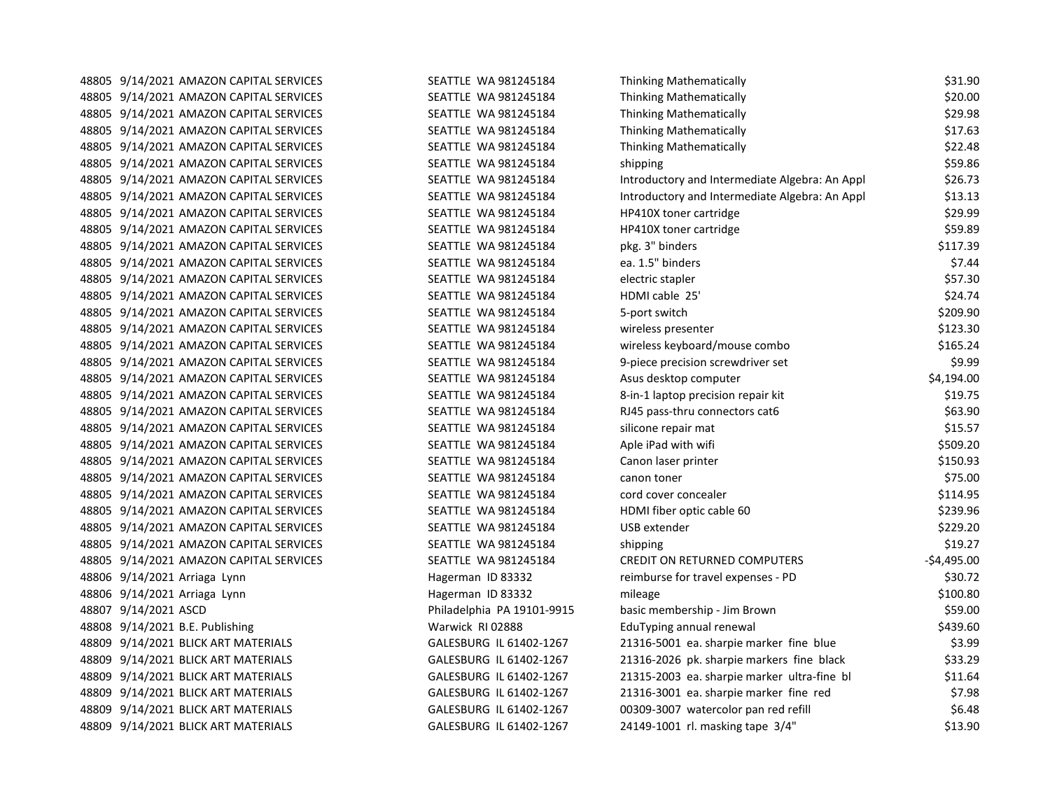| 48805 9/14/2021 AMAZON CAPITAL SERVICES<br>SEATTLE WA 981245184<br><b>Thinking Mathematically</b><br>48805 9/14/2021 AMAZON CAPITAL SERVICES<br>SEATTLE WA 981245184<br><b>Thinking Mathematically</b><br>SEATTLE WA 981245184<br><b>Thinking Mathematically</b><br>48805 9/14/2021 AMAZON CAPITAL SERVICES<br>48805 9/14/2021 AMAZON CAPITAL SERVICES<br>SEATTLE WA 981245184<br><b>Thinking Mathematically</b><br>48805 9/14/2021 AMAZON CAPITAL SERVICES<br>SEATTLE WA 981245184<br>shipping<br>48805 9/14/2021 AMAZON CAPITAL SERVICES<br>SEATTLE WA 981245184<br>Introductory and Intermediate Algebra: An Appl<br>48805 9/14/2021 AMAZON CAPITAL SERVICES<br>SEATTLE WA 981245184<br>Introductory and Intermediate Algebra: An Appl<br>48805 9/14/2021 AMAZON CAPITAL SERVICES<br>SEATTLE WA 981245184<br><b>HP410X toner cartridge</b><br>48805 9/14/2021 AMAZON CAPITAL SERVICES<br>SEATTLE WA 981245184<br><b>HP410X toner cartridge</b><br>pkg. 3" binders<br>48805 9/14/2021 AMAZON CAPITAL SERVICES<br>SEATTLE WA 981245184<br>SEATTLE WA 981245184<br>ea. 1.5" binders<br>48805 9/14/2021 AMAZON CAPITAL SERVICES<br>48805 9/14/2021 AMAZON CAPITAL SERVICES<br>SEATTLE WA 981245184<br>electric stapler<br>HDMI cable 25'<br>48805 9/14/2021 AMAZON CAPITAL SERVICES<br>SEATTLE WA 981245184<br>48805 9/14/2021 AMAZON CAPITAL SERVICES<br>SEATTLE WA 981245184<br>5-port switch<br>48805 9/14/2021 AMAZON CAPITAL SERVICES<br>SEATTLE WA 981245184<br>wireless presenter<br>wireless keyboard/mouse combo<br>48805 9/14/2021 AMAZON CAPITAL SERVICES<br>SEATTLE WA 981245184<br>SEATTLE WA 981245184<br>9-piece precision screwdriver set<br>48805 9/14/2021 AMAZON CAPITAL SERVICES<br>48805 9/14/2021 AMAZON CAPITAL SERVICES<br>SEATTLE WA 981245184<br>Asus desktop computer<br>SEATTLE WA 981245184<br>8-in-1 laptop precision repair kit<br>48805 9/14/2021 AMAZON CAPITAL SERVICES<br>48805 9/14/2021 AMAZON CAPITAL SERVICES<br>RJ45 pass-thru connectors cat6<br>SEATTLE WA 981245184<br>48805 9/14/2021 AMAZON CAPITAL SERVICES<br>SEATTLE WA 981245184<br>silicone repair mat<br>48805 9/14/2021 AMAZON CAPITAL SERVICES<br>SEATTLE WA 981245184<br>Aple iPad with wifi<br>SEATTLE WA 981245184<br>Canon laser printer<br>48805 9/14/2021 AMAZON CAPITAL SERVICES<br>48805 9/14/2021 AMAZON CAPITAL SERVICES<br>SEATTLE WA 981245184<br>canon toner<br>48805 9/14/2021 AMAZON CAPITAL SERVICES<br>SEATTLE WA 981245184<br>cord cover concealer<br>SEATTLE WA 981245184<br>HDMI fiber optic cable 60<br>48805 9/14/2021 AMAZON CAPITAL SERVICES<br>48805 9/14/2021 AMAZON CAPITAL SERVICES<br>SEATTLE WA 981245184<br>USB extender<br>48805 9/14/2021 AMAZON CAPITAL SERVICES<br>SEATTLE WA 981245184<br>shipping<br>48805 9/14/2021 AMAZON CAPITAL SERVICES<br>SEATTLE WA 981245184<br>CREDIT ON RETURNED COMPUTERS<br>reimburse for travel expenses - PD<br>48806 9/14/2021 Arriaga Lynn<br>Hagerman ID 83332<br>48806 9/14/2021 Arriaga Lynn<br>Hagerman ID 83332<br>mileage<br>48807 9/14/2021 ASCD<br>basic membership - Jim Brown<br>Philadelphia PA 19101-9915<br>EduTyping annual renewal<br>48808 9/14/2021 B.E. Publishing<br>Warwick RI 02888<br>21316-5001 ea. sharpie marker fine blue<br>48809 9/14/2021 BLICK ART MATERIALS<br>GALESBURG IL 61402-1267<br>48809 9/14/2021 BLICK ART MATERIALS<br>GALESBURG IL 61402-1267<br>21316-2026 pk. sharpie markers fine black<br>21315-2003 ea. sharpie marker ultra-fine bl<br>48809 9/14/2021 BLICK ART MATERIALS<br>GALESBURG IL 61402-1267<br>21316-3001 ea. sharpie marker fine red<br>48809 9/14/2021 BLICK ART MATERIALS<br>GALESBURG IL 61402-1267<br>00309-3007 watercolor pan red refill<br>48809 9/14/2021 BLICK ART MATERIALS<br>GALESBURG IL 61402-1267<br>24149-1001 rl. masking tape 3/4"<br>48809 9/14/2021 BLICK ART MATERIALS<br>GALESBURG IL 61402-1267 | 48805 9/14/2021 AMAZON CAPITAL SERVICES | SEATTLE WA 981245184 | <b>Thinking Mathematically</b> | \$31.90      |
|------------------------------------------------------------------------------------------------------------------------------------------------------------------------------------------------------------------------------------------------------------------------------------------------------------------------------------------------------------------------------------------------------------------------------------------------------------------------------------------------------------------------------------------------------------------------------------------------------------------------------------------------------------------------------------------------------------------------------------------------------------------------------------------------------------------------------------------------------------------------------------------------------------------------------------------------------------------------------------------------------------------------------------------------------------------------------------------------------------------------------------------------------------------------------------------------------------------------------------------------------------------------------------------------------------------------------------------------------------------------------------------------------------------------------------------------------------------------------------------------------------------------------------------------------------------------------------------------------------------------------------------------------------------------------------------------------------------------------------------------------------------------------------------------------------------------------------------------------------------------------------------------------------------------------------------------------------------------------------------------------------------------------------------------------------------------------------------------------------------------------------------------------------------------------------------------------------------------------------------------------------------------------------------------------------------------------------------------------------------------------------------------------------------------------------------------------------------------------------------------------------------------------------------------------------------------------------------------------------------------------------------------------------------------------------------------------------------------------------------------------------------------------------------------------------------------------------------------------------------------------------------------------------------------------------------------------------------------------------------------------------------------------------------------------------------------------------------------------------------------------------------------------------------------------------------------------------------------------------------------------------------------------------------------------------------------------------------------------------------------------------------------------------------------------------------------------------------------------------------------------------------------------------------------------------------------------------------------------------------------------------------------------------------------------------------------------------------------------------------------------------------------------------------------------------------------------------------------------------|-----------------------------------------|----------------------|--------------------------------|--------------|
|                                                                                                                                                                                                                                                                                                                                                                                                                                                                                                                                                                                                                                                                                                                                                                                                                                                                                                                                                                                                                                                                                                                                                                                                                                                                                                                                                                                                                                                                                                                                                                                                                                                                                                                                                                                                                                                                                                                                                                                                                                                                                                                                                                                                                                                                                                                                                                                                                                                                                                                                                                                                                                                                                                                                                                                                                                                                                                                                                                                                                                                                                                                                                                                                                                                                                                                                                                                                                                                                                                                                                                                                                                                                                                                                                                                                                                                            |                                         |                      |                                | \$20.00      |
|                                                                                                                                                                                                                                                                                                                                                                                                                                                                                                                                                                                                                                                                                                                                                                                                                                                                                                                                                                                                                                                                                                                                                                                                                                                                                                                                                                                                                                                                                                                                                                                                                                                                                                                                                                                                                                                                                                                                                                                                                                                                                                                                                                                                                                                                                                                                                                                                                                                                                                                                                                                                                                                                                                                                                                                                                                                                                                                                                                                                                                                                                                                                                                                                                                                                                                                                                                                                                                                                                                                                                                                                                                                                                                                                                                                                                                                            |                                         |                      |                                | \$29.98      |
|                                                                                                                                                                                                                                                                                                                                                                                                                                                                                                                                                                                                                                                                                                                                                                                                                                                                                                                                                                                                                                                                                                                                                                                                                                                                                                                                                                                                                                                                                                                                                                                                                                                                                                                                                                                                                                                                                                                                                                                                                                                                                                                                                                                                                                                                                                                                                                                                                                                                                                                                                                                                                                                                                                                                                                                                                                                                                                                                                                                                                                                                                                                                                                                                                                                                                                                                                                                                                                                                                                                                                                                                                                                                                                                                                                                                                                                            |                                         |                      |                                | \$17.63      |
|                                                                                                                                                                                                                                                                                                                                                                                                                                                                                                                                                                                                                                                                                                                                                                                                                                                                                                                                                                                                                                                                                                                                                                                                                                                                                                                                                                                                                                                                                                                                                                                                                                                                                                                                                                                                                                                                                                                                                                                                                                                                                                                                                                                                                                                                                                                                                                                                                                                                                                                                                                                                                                                                                                                                                                                                                                                                                                                                                                                                                                                                                                                                                                                                                                                                                                                                                                                                                                                                                                                                                                                                                                                                                                                                                                                                                                                            |                                         |                      |                                | \$22.48      |
|                                                                                                                                                                                                                                                                                                                                                                                                                                                                                                                                                                                                                                                                                                                                                                                                                                                                                                                                                                                                                                                                                                                                                                                                                                                                                                                                                                                                                                                                                                                                                                                                                                                                                                                                                                                                                                                                                                                                                                                                                                                                                                                                                                                                                                                                                                                                                                                                                                                                                                                                                                                                                                                                                                                                                                                                                                                                                                                                                                                                                                                                                                                                                                                                                                                                                                                                                                                                                                                                                                                                                                                                                                                                                                                                                                                                                                                            |                                         |                      |                                | \$59.86      |
|                                                                                                                                                                                                                                                                                                                                                                                                                                                                                                                                                                                                                                                                                                                                                                                                                                                                                                                                                                                                                                                                                                                                                                                                                                                                                                                                                                                                                                                                                                                                                                                                                                                                                                                                                                                                                                                                                                                                                                                                                                                                                                                                                                                                                                                                                                                                                                                                                                                                                                                                                                                                                                                                                                                                                                                                                                                                                                                                                                                                                                                                                                                                                                                                                                                                                                                                                                                                                                                                                                                                                                                                                                                                                                                                                                                                                                                            |                                         |                      |                                | \$26.73      |
|                                                                                                                                                                                                                                                                                                                                                                                                                                                                                                                                                                                                                                                                                                                                                                                                                                                                                                                                                                                                                                                                                                                                                                                                                                                                                                                                                                                                                                                                                                                                                                                                                                                                                                                                                                                                                                                                                                                                                                                                                                                                                                                                                                                                                                                                                                                                                                                                                                                                                                                                                                                                                                                                                                                                                                                                                                                                                                                                                                                                                                                                                                                                                                                                                                                                                                                                                                                                                                                                                                                                                                                                                                                                                                                                                                                                                                                            |                                         |                      |                                | \$13.13      |
|                                                                                                                                                                                                                                                                                                                                                                                                                                                                                                                                                                                                                                                                                                                                                                                                                                                                                                                                                                                                                                                                                                                                                                                                                                                                                                                                                                                                                                                                                                                                                                                                                                                                                                                                                                                                                                                                                                                                                                                                                                                                                                                                                                                                                                                                                                                                                                                                                                                                                                                                                                                                                                                                                                                                                                                                                                                                                                                                                                                                                                                                                                                                                                                                                                                                                                                                                                                                                                                                                                                                                                                                                                                                                                                                                                                                                                                            |                                         |                      |                                | \$29.99      |
|                                                                                                                                                                                                                                                                                                                                                                                                                                                                                                                                                                                                                                                                                                                                                                                                                                                                                                                                                                                                                                                                                                                                                                                                                                                                                                                                                                                                                                                                                                                                                                                                                                                                                                                                                                                                                                                                                                                                                                                                                                                                                                                                                                                                                                                                                                                                                                                                                                                                                                                                                                                                                                                                                                                                                                                                                                                                                                                                                                                                                                                                                                                                                                                                                                                                                                                                                                                                                                                                                                                                                                                                                                                                                                                                                                                                                                                            |                                         |                      |                                | \$59.89      |
|                                                                                                                                                                                                                                                                                                                                                                                                                                                                                                                                                                                                                                                                                                                                                                                                                                                                                                                                                                                                                                                                                                                                                                                                                                                                                                                                                                                                                                                                                                                                                                                                                                                                                                                                                                                                                                                                                                                                                                                                                                                                                                                                                                                                                                                                                                                                                                                                                                                                                                                                                                                                                                                                                                                                                                                                                                                                                                                                                                                                                                                                                                                                                                                                                                                                                                                                                                                                                                                                                                                                                                                                                                                                                                                                                                                                                                                            |                                         |                      |                                | \$117.39     |
|                                                                                                                                                                                                                                                                                                                                                                                                                                                                                                                                                                                                                                                                                                                                                                                                                                                                                                                                                                                                                                                                                                                                                                                                                                                                                                                                                                                                                                                                                                                                                                                                                                                                                                                                                                                                                                                                                                                                                                                                                                                                                                                                                                                                                                                                                                                                                                                                                                                                                                                                                                                                                                                                                                                                                                                                                                                                                                                                                                                                                                                                                                                                                                                                                                                                                                                                                                                                                                                                                                                                                                                                                                                                                                                                                                                                                                                            |                                         |                      |                                | \$7.44       |
|                                                                                                                                                                                                                                                                                                                                                                                                                                                                                                                                                                                                                                                                                                                                                                                                                                                                                                                                                                                                                                                                                                                                                                                                                                                                                                                                                                                                                                                                                                                                                                                                                                                                                                                                                                                                                                                                                                                                                                                                                                                                                                                                                                                                                                                                                                                                                                                                                                                                                                                                                                                                                                                                                                                                                                                                                                                                                                                                                                                                                                                                                                                                                                                                                                                                                                                                                                                                                                                                                                                                                                                                                                                                                                                                                                                                                                                            |                                         |                      |                                | \$57.30      |
|                                                                                                                                                                                                                                                                                                                                                                                                                                                                                                                                                                                                                                                                                                                                                                                                                                                                                                                                                                                                                                                                                                                                                                                                                                                                                                                                                                                                                                                                                                                                                                                                                                                                                                                                                                                                                                                                                                                                                                                                                                                                                                                                                                                                                                                                                                                                                                                                                                                                                                                                                                                                                                                                                                                                                                                                                                                                                                                                                                                                                                                                                                                                                                                                                                                                                                                                                                                                                                                                                                                                                                                                                                                                                                                                                                                                                                                            |                                         |                      |                                | \$24.74      |
|                                                                                                                                                                                                                                                                                                                                                                                                                                                                                                                                                                                                                                                                                                                                                                                                                                                                                                                                                                                                                                                                                                                                                                                                                                                                                                                                                                                                                                                                                                                                                                                                                                                                                                                                                                                                                                                                                                                                                                                                                                                                                                                                                                                                                                                                                                                                                                                                                                                                                                                                                                                                                                                                                                                                                                                                                                                                                                                                                                                                                                                                                                                                                                                                                                                                                                                                                                                                                                                                                                                                                                                                                                                                                                                                                                                                                                                            |                                         |                      |                                | \$209.90     |
|                                                                                                                                                                                                                                                                                                                                                                                                                                                                                                                                                                                                                                                                                                                                                                                                                                                                                                                                                                                                                                                                                                                                                                                                                                                                                                                                                                                                                                                                                                                                                                                                                                                                                                                                                                                                                                                                                                                                                                                                                                                                                                                                                                                                                                                                                                                                                                                                                                                                                                                                                                                                                                                                                                                                                                                                                                                                                                                                                                                                                                                                                                                                                                                                                                                                                                                                                                                                                                                                                                                                                                                                                                                                                                                                                                                                                                                            |                                         |                      |                                | \$123.30     |
|                                                                                                                                                                                                                                                                                                                                                                                                                                                                                                                                                                                                                                                                                                                                                                                                                                                                                                                                                                                                                                                                                                                                                                                                                                                                                                                                                                                                                                                                                                                                                                                                                                                                                                                                                                                                                                                                                                                                                                                                                                                                                                                                                                                                                                                                                                                                                                                                                                                                                                                                                                                                                                                                                                                                                                                                                                                                                                                                                                                                                                                                                                                                                                                                                                                                                                                                                                                                                                                                                                                                                                                                                                                                                                                                                                                                                                                            |                                         |                      |                                | \$165.24     |
|                                                                                                                                                                                                                                                                                                                                                                                                                                                                                                                                                                                                                                                                                                                                                                                                                                                                                                                                                                                                                                                                                                                                                                                                                                                                                                                                                                                                                                                                                                                                                                                                                                                                                                                                                                                                                                                                                                                                                                                                                                                                                                                                                                                                                                                                                                                                                                                                                                                                                                                                                                                                                                                                                                                                                                                                                                                                                                                                                                                                                                                                                                                                                                                                                                                                                                                                                                                                                                                                                                                                                                                                                                                                                                                                                                                                                                                            |                                         |                      |                                | \$9.99       |
|                                                                                                                                                                                                                                                                                                                                                                                                                                                                                                                                                                                                                                                                                                                                                                                                                                                                                                                                                                                                                                                                                                                                                                                                                                                                                                                                                                                                                                                                                                                                                                                                                                                                                                                                                                                                                                                                                                                                                                                                                                                                                                                                                                                                                                                                                                                                                                                                                                                                                                                                                                                                                                                                                                                                                                                                                                                                                                                                                                                                                                                                                                                                                                                                                                                                                                                                                                                                                                                                                                                                                                                                                                                                                                                                                                                                                                                            |                                         |                      |                                | \$4,194.00   |
|                                                                                                                                                                                                                                                                                                                                                                                                                                                                                                                                                                                                                                                                                                                                                                                                                                                                                                                                                                                                                                                                                                                                                                                                                                                                                                                                                                                                                                                                                                                                                                                                                                                                                                                                                                                                                                                                                                                                                                                                                                                                                                                                                                                                                                                                                                                                                                                                                                                                                                                                                                                                                                                                                                                                                                                                                                                                                                                                                                                                                                                                                                                                                                                                                                                                                                                                                                                                                                                                                                                                                                                                                                                                                                                                                                                                                                                            |                                         |                      |                                | \$19.75      |
|                                                                                                                                                                                                                                                                                                                                                                                                                                                                                                                                                                                                                                                                                                                                                                                                                                                                                                                                                                                                                                                                                                                                                                                                                                                                                                                                                                                                                                                                                                                                                                                                                                                                                                                                                                                                                                                                                                                                                                                                                                                                                                                                                                                                                                                                                                                                                                                                                                                                                                                                                                                                                                                                                                                                                                                                                                                                                                                                                                                                                                                                                                                                                                                                                                                                                                                                                                                                                                                                                                                                                                                                                                                                                                                                                                                                                                                            |                                         |                      |                                | \$63.90      |
|                                                                                                                                                                                                                                                                                                                                                                                                                                                                                                                                                                                                                                                                                                                                                                                                                                                                                                                                                                                                                                                                                                                                                                                                                                                                                                                                                                                                                                                                                                                                                                                                                                                                                                                                                                                                                                                                                                                                                                                                                                                                                                                                                                                                                                                                                                                                                                                                                                                                                                                                                                                                                                                                                                                                                                                                                                                                                                                                                                                                                                                                                                                                                                                                                                                                                                                                                                                                                                                                                                                                                                                                                                                                                                                                                                                                                                                            |                                         |                      |                                | \$15.57      |
|                                                                                                                                                                                                                                                                                                                                                                                                                                                                                                                                                                                                                                                                                                                                                                                                                                                                                                                                                                                                                                                                                                                                                                                                                                                                                                                                                                                                                                                                                                                                                                                                                                                                                                                                                                                                                                                                                                                                                                                                                                                                                                                                                                                                                                                                                                                                                                                                                                                                                                                                                                                                                                                                                                                                                                                                                                                                                                                                                                                                                                                                                                                                                                                                                                                                                                                                                                                                                                                                                                                                                                                                                                                                                                                                                                                                                                                            |                                         |                      |                                | \$509.20     |
|                                                                                                                                                                                                                                                                                                                                                                                                                                                                                                                                                                                                                                                                                                                                                                                                                                                                                                                                                                                                                                                                                                                                                                                                                                                                                                                                                                                                                                                                                                                                                                                                                                                                                                                                                                                                                                                                                                                                                                                                                                                                                                                                                                                                                                                                                                                                                                                                                                                                                                                                                                                                                                                                                                                                                                                                                                                                                                                                                                                                                                                                                                                                                                                                                                                                                                                                                                                                                                                                                                                                                                                                                                                                                                                                                                                                                                                            |                                         |                      |                                | \$150.93     |
|                                                                                                                                                                                                                                                                                                                                                                                                                                                                                                                                                                                                                                                                                                                                                                                                                                                                                                                                                                                                                                                                                                                                                                                                                                                                                                                                                                                                                                                                                                                                                                                                                                                                                                                                                                                                                                                                                                                                                                                                                                                                                                                                                                                                                                                                                                                                                                                                                                                                                                                                                                                                                                                                                                                                                                                                                                                                                                                                                                                                                                                                                                                                                                                                                                                                                                                                                                                                                                                                                                                                                                                                                                                                                                                                                                                                                                                            |                                         |                      |                                | \$75.00      |
|                                                                                                                                                                                                                                                                                                                                                                                                                                                                                                                                                                                                                                                                                                                                                                                                                                                                                                                                                                                                                                                                                                                                                                                                                                                                                                                                                                                                                                                                                                                                                                                                                                                                                                                                                                                                                                                                                                                                                                                                                                                                                                                                                                                                                                                                                                                                                                                                                                                                                                                                                                                                                                                                                                                                                                                                                                                                                                                                                                                                                                                                                                                                                                                                                                                                                                                                                                                                                                                                                                                                                                                                                                                                                                                                                                                                                                                            |                                         |                      |                                | \$114.95     |
|                                                                                                                                                                                                                                                                                                                                                                                                                                                                                                                                                                                                                                                                                                                                                                                                                                                                                                                                                                                                                                                                                                                                                                                                                                                                                                                                                                                                                                                                                                                                                                                                                                                                                                                                                                                                                                                                                                                                                                                                                                                                                                                                                                                                                                                                                                                                                                                                                                                                                                                                                                                                                                                                                                                                                                                                                                                                                                                                                                                                                                                                                                                                                                                                                                                                                                                                                                                                                                                                                                                                                                                                                                                                                                                                                                                                                                                            |                                         |                      |                                | \$239.96     |
|                                                                                                                                                                                                                                                                                                                                                                                                                                                                                                                                                                                                                                                                                                                                                                                                                                                                                                                                                                                                                                                                                                                                                                                                                                                                                                                                                                                                                                                                                                                                                                                                                                                                                                                                                                                                                                                                                                                                                                                                                                                                                                                                                                                                                                                                                                                                                                                                                                                                                                                                                                                                                                                                                                                                                                                                                                                                                                                                                                                                                                                                                                                                                                                                                                                                                                                                                                                                                                                                                                                                                                                                                                                                                                                                                                                                                                                            |                                         |                      |                                | \$229.20     |
|                                                                                                                                                                                                                                                                                                                                                                                                                                                                                                                                                                                                                                                                                                                                                                                                                                                                                                                                                                                                                                                                                                                                                                                                                                                                                                                                                                                                                                                                                                                                                                                                                                                                                                                                                                                                                                                                                                                                                                                                                                                                                                                                                                                                                                                                                                                                                                                                                                                                                                                                                                                                                                                                                                                                                                                                                                                                                                                                                                                                                                                                                                                                                                                                                                                                                                                                                                                                                                                                                                                                                                                                                                                                                                                                                                                                                                                            |                                         |                      |                                | \$19.27      |
|                                                                                                                                                                                                                                                                                                                                                                                                                                                                                                                                                                                                                                                                                                                                                                                                                                                                                                                                                                                                                                                                                                                                                                                                                                                                                                                                                                                                                                                                                                                                                                                                                                                                                                                                                                                                                                                                                                                                                                                                                                                                                                                                                                                                                                                                                                                                                                                                                                                                                                                                                                                                                                                                                                                                                                                                                                                                                                                                                                                                                                                                                                                                                                                                                                                                                                                                                                                                                                                                                                                                                                                                                                                                                                                                                                                                                                                            |                                         |                      |                                | $-$4,495.00$ |
|                                                                                                                                                                                                                                                                                                                                                                                                                                                                                                                                                                                                                                                                                                                                                                                                                                                                                                                                                                                                                                                                                                                                                                                                                                                                                                                                                                                                                                                                                                                                                                                                                                                                                                                                                                                                                                                                                                                                                                                                                                                                                                                                                                                                                                                                                                                                                                                                                                                                                                                                                                                                                                                                                                                                                                                                                                                                                                                                                                                                                                                                                                                                                                                                                                                                                                                                                                                                                                                                                                                                                                                                                                                                                                                                                                                                                                                            |                                         |                      |                                | \$30.72      |
|                                                                                                                                                                                                                                                                                                                                                                                                                                                                                                                                                                                                                                                                                                                                                                                                                                                                                                                                                                                                                                                                                                                                                                                                                                                                                                                                                                                                                                                                                                                                                                                                                                                                                                                                                                                                                                                                                                                                                                                                                                                                                                                                                                                                                                                                                                                                                                                                                                                                                                                                                                                                                                                                                                                                                                                                                                                                                                                                                                                                                                                                                                                                                                                                                                                                                                                                                                                                                                                                                                                                                                                                                                                                                                                                                                                                                                                            |                                         |                      |                                | \$100.80     |
|                                                                                                                                                                                                                                                                                                                                                                                                                                                                                                                                                                                                                                                                                                                                                                                                                                                                                                                                                                                                                                                                                                                                                                                                                                                                                                                                                                                                                                                                                                                                                                                                                                                                                                                                                                                                                                                                                                                                                                                                                                                                                                                                                                                                                                                                                                                                                                                                                                                                                                                                                                                                                                                                                                                                                                                                                                                                                                                                                                                                                                                                                                                                                                                                                                                                                                                                                                                                                                                                                                                                                                                                                                                                                                                                                                                                                                                            |                                         |                      |                                | \$59.00      |
|                                                                                                                                                                                                                                                                                                                                                                                                                                                                                                                                                                                                                                                                                                                                                                                                                                                                                                                                                                                                                                                                                                                                                                                                                                                                                                                                                                                                                                                                                                                                                                                                                                                                                                                                                                                                                                                                                                                                                                                                                                                                                                                                                                                                                                                                                                                                                                                                                                                                                                                                                                                                                                                                                                                                                                                                                                                                                                                                                                                                                                                                                                                                                                                                                                                                                                                                                                                                                                                                                                                                                                                                                                                                                                                                                                                                                                                            |                                         |                      |                                | \$439.60     |
|                                                                                                                                                                                                                                                                                                                                                                                                                                                                                                                                                                                                                                                                                                                                                                                                                                                                                                                                                                                                                                                                                                                                                                                                                                                                                                                                                                                                                                                                                                                                                                                                                                                                                                                                                                                                                                                                                                                                                                                                                                                                                                                                                                                                                                                                                                                                                                                                                                                                                                                                                                                                                                                                                                                                                                                                                                                                                                                                                                                                                                                                                                                                                                                                                                                                                                                                                                                                                                                                                                                                                                                                                                                                                                                                                                                                                                                            |                                         |                      |                                | \$3.99       |
|                                                                                                                                                                                                                                                                                                                                                                                                                                                                                                                                                                                                                                                                                                                                                                                                                                                                                                                                                                                                                                                                                                                                                                                                                                                                                                                                                                                                                                                                                                                                                                                                                                                                                                                                                                                                                                                                                                                                                                                                                                                                                                                                                                                                                                                                                                                                                                                                                                                                                                                                                                                                                                                                                                                                                                                                                                                                                                                                                                                                                                                                                                                                                                                                                                                                                                                                                                                                                                                                                                                                                                                                                                                                                                                                                                                                                                                            |                                         |                      |                                | \$33.29      |
|                                                                                                                                                                                                                                                                                                                                                                                                                                                                                                                                                                                                                                                                                                                                                                                                                                                                                                                                                                                                                                                                                                                                                                                                                                                                                                                                                                                                                                                                                                                                                                                                                                                                                                                                                                                                                                                                                                                                                                                                                                                                                                                                                                                                                                                                                                                                                                                                                                                                                                                                                                                                                                                                                                                                                                                                                                                                                                                                                                                                                                                                                                                                                                                                                                                                                                                                                                                                                                                                                                                                                                                                                                                                                                                                                                                                                                                            |                                         |                      |                                | \$11.64      |
|                                                                                                                                                                                                                                                                                                                                                                                                                                                                                                                                                                                                                                                                                                                                                                                                                                                                                                                                                                                                                                                                                                                                                                                                                                                                                                                                                                                                                                                                                                                                                                                                                                                                                                                                                                                                                                                                                                                                                                                                                                                                                                                                                                                                                                                                                                                                                                                                                                                                                                                                                                                                                                                                                                                                                                                                                                                                                                                                                                                                                                                                                                                                                                                                                                                                                                                                                                                                                                                                                                                                                                                                                                                                                                                                                                                                                                                            |                                         |                      |                                | \$7.98       |
|                                                                                                                                                                                                                                                                                                                                                                                                                                                                                                                                                                                                                                                                                                                                                                                                                                                                                                                                                                                                                                                                                                                                                                                                                                                                                                                                                                                                                                                                                                                                                                                                                                                                                                                                                                                                                                                                                                                                                                                                                                                                                                                                                                                                                                                                                                                                                                                                                                                                                                                                                                                                                                                                                                                                                                                                                                                                                                                                                                                                                                                                                                                                                                                                                                                                                                                                                                                                                                                                                                                                                                                                                                                                                                                                                                                                                                                            |                                         |                      |                                | \$6.48       |
|                                                                                                                                                                                                                                                                                                                                                                                                                                                                                                                                                                                                                                                                                                                                                                                                                                                                                                                                                                                                                                                                                                                                                                                                                                                                                                                                                                                                                                                                                                                                                                                                                                                                                                                                                                                                                                                                                                                                                                                                                                                                                                                                                                                                                                                                                                                                                                                                                                                                                                                                                                                                                                                                                                                                                                                                                                                                                                                                                                                                                                                                                                                                                                                                                                                                                                                                                                                                                                                                                                                                                                                                                                                                                                                                                                                                                                                            |                                         |                      |                                | \$13.90      |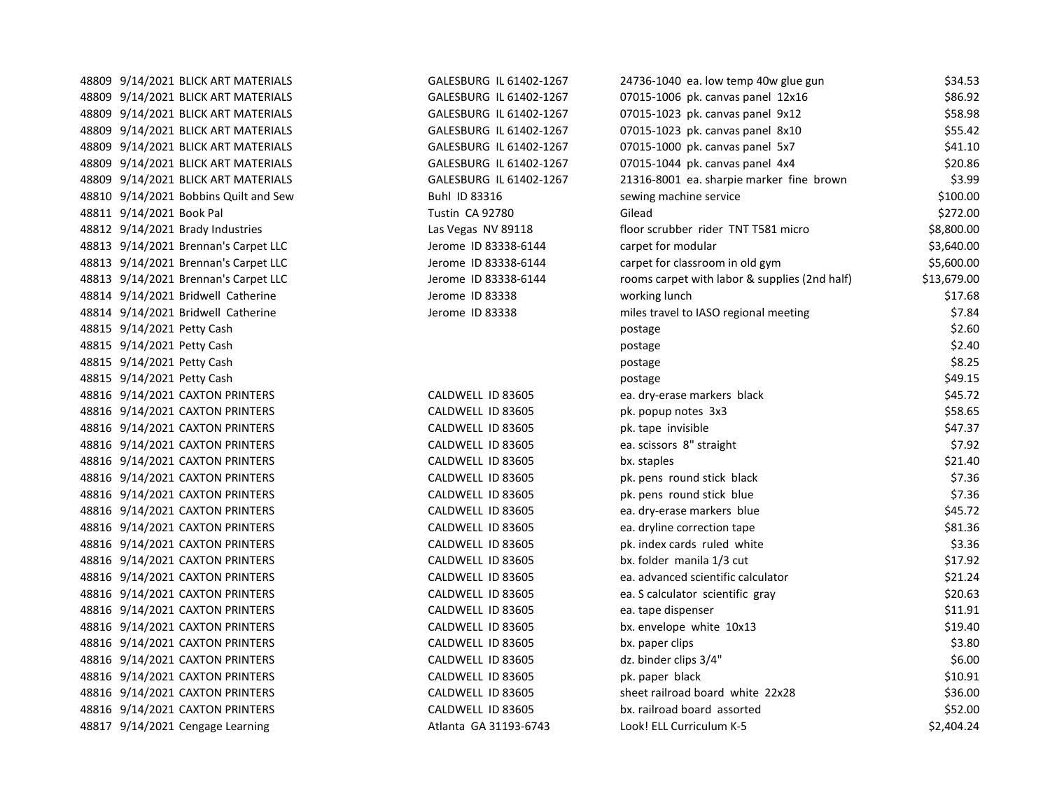48809 9/14/2021 BLICK ART MATERIALS GALESBURG IL 61402-1267 48809 9/14/2021 BLICK ART MATERIALS GALESBURG IL 61402-1267 48809 9/14/2021 BLICK ART MATERIALS GALESBURG IL 61402-1267 48809 9/14/2021 BLICK ART MATERIALS GALESBURG IL 61402-1267 48809 9/14/2021 BLICK ART MATERIALS GALESBURG IL 61402-1267 48809 9/14/2021 BLICK ART MATERIALS GALESBURG IL 61402-1267 48809 9/14/2021 BLICK ART MATERIALS GALESBURG IL 61402-1267 48810 9/14/2021 Bobbins Quilt and Sew Buhl ID 83316 48811 9/14/2021 Book Pal **Canada & 2012.000 Fustin CA 92780** 48812 9/14/2021 Brady Industries Las Vegas NV 89118 48813 9/14/2021 Brennan's Carpet LLC Jerome ID 83338-6144 48813 9/14/2021 Brennan's Carpet LLC Jerome ID 83338-6144 48813 9/14/2021 Brennan's Carpet LLC Jerome ID 83338-6144 48814 9/14/2021 Bridwell Catherine Jerome ID 83338 48814 9/14/2021 Bridwell Catherine Jerome ID 83338 48815 9/14/2021 Petty Cash 48815 9/14/2021 Petty Cash 48815 9/14/2021 Petty Cash 48815 9/14/2021 Petty Cash 48816 9/14/2021 CAXTON PRINTERS CALDWELL ID 83605 48816 9/14/2021 CAXTON PRINTERS CALDWELL ID 83605 48816 9/14/2021 CAXTON PRINTERS CALDWELL ID 83605 48816 9/14/2021 CAXTON PRINTERS CALDWELL ID 83605 48816 9/14/2021 CAXTON PRINTERS CALDWELL ID 83605 48816 9/14/2021 CAXTON PRINTERS CALDWELL ID 83605 48816 9/14/2021 CAXTON PRINTERS CALDWELL ID 83605 48816 9/14/2021 CAXTON PRINTERS CALDWELL ID 83605 48816 9/14/2021 CAXTON PRINTERS CALDWELL ID 83605 48816 9/14/2021 CAXTON PRINTERS CALDWELL ID 83605 48816 9/14/2021 CAXTON PRINTERS CALDWELL ID 83605 48816 9/14/2021 CAXTON PRINTERS CALDWELL ID 83605 48816 9/14/2021 CAXTON PRINTERS CALDWELL ID 83605 48816 9/14/2021 CAXTON PRINTERS CALDWELL ID 83605 48816 9/14/2021 CAXTON PRINTERS CALDWELL ID 83605 48816 9/14/2021 CAXTON PRINTERS CALDWELL ID 83605 48816 9/14/2021 CAXTON PRINTERS CALDWELL ID 83605 48816 9/14/2021 CAXTON PRINTERS CALDWELL ID 83605 48816 9/14/2021 CAXTON PRINTERS CALDWELL ID 83605 48816 9/14/2021 CAXTON PRINTERS CALDWELL ID 83605 48817 9/14/2021 Cengage Learning **Atlanta GA 31193-6743** Atlanta GA 31193-6743

| 24736-1040 ea. low temp 40w glue gun          | \$34.53     |
|-----------------------------------------------|-------------|
| 07015-1006 pk. canvas panel 12x16             | \$86.92     |
| 07015-1023 pk. canvas panel 9x12              | \$58.98     |
| 07015-1023 pk. canvas panel 8x10              | \$55.42     |
| 07015-1000 pk. canvas panel 5x7               | \$41.10     |
| 07015-1044 pk. canvas panel 4x4               | \$20.86     |
| 21316-8001 ea. sharpie marker fine brown      | \$3.99      |
| sewing machine service                        | \$100.00    |
| Gilead                                        | \$272.00    |
| floor scrubber rider TNT T581 micro           | \$8,800.00  |
| carpet for modular                            | \$3,640.00  |
| carpet for classroom in old gym               | \$5,600.00  |
| rooms carpet with labor & supplies (2nd half) | \$13,679.00 |
| working lunch                                 | \$17.68     |
| miles travel to IASO regional meeting         | \$7.84      |
| postage                                       | \$2.60      |
| postage                                       | \$2.40      |
| postage                                       | \$8.25      |
| postage                                       | \$49.15     |
| ea. dry-erase markers black                   | \$45.72     |
| pk. popup notes 3x3                           | \$58.65     |
| pk. tape invisible                            | \$47.37     |
| ea. scissors 8" straight                      | \$7.92      |
| bx. staples                                   | \$21.40     |
| pk. pens round stick black                    | \$7.36      |
| pk. pens round stick blue                     | \$7.36      |
| ea. dry-erase markers blue                    | \$45.72     |
| ea. dryline correction tape                   | \$81.36     |
| pk. index cards ruled white                   | \$3.36      |
| bx. folder manila 1/3 cut                     | \$17.92     |
| ea. advanced scientific calculator            | \$21.24     |
| ea. S calculator scientific gray              | \$20.63     |
| ea. tape dispenser                            | \$11.91     |
| bx. envelope white 10x13                      | \$19.40     |
| bx. paper clips                               | \$3.80      |
| dz. binder clips 3/4"                         | \$6.00      |
| pk. paper black                               | \$10.91     |
| sheet railroad board white 22x28              | \$36.00     |
| bx. railroad board assorted                   | \$52.00     |
| Look! ELL Curriculum K-5                      | \$2,404.24  |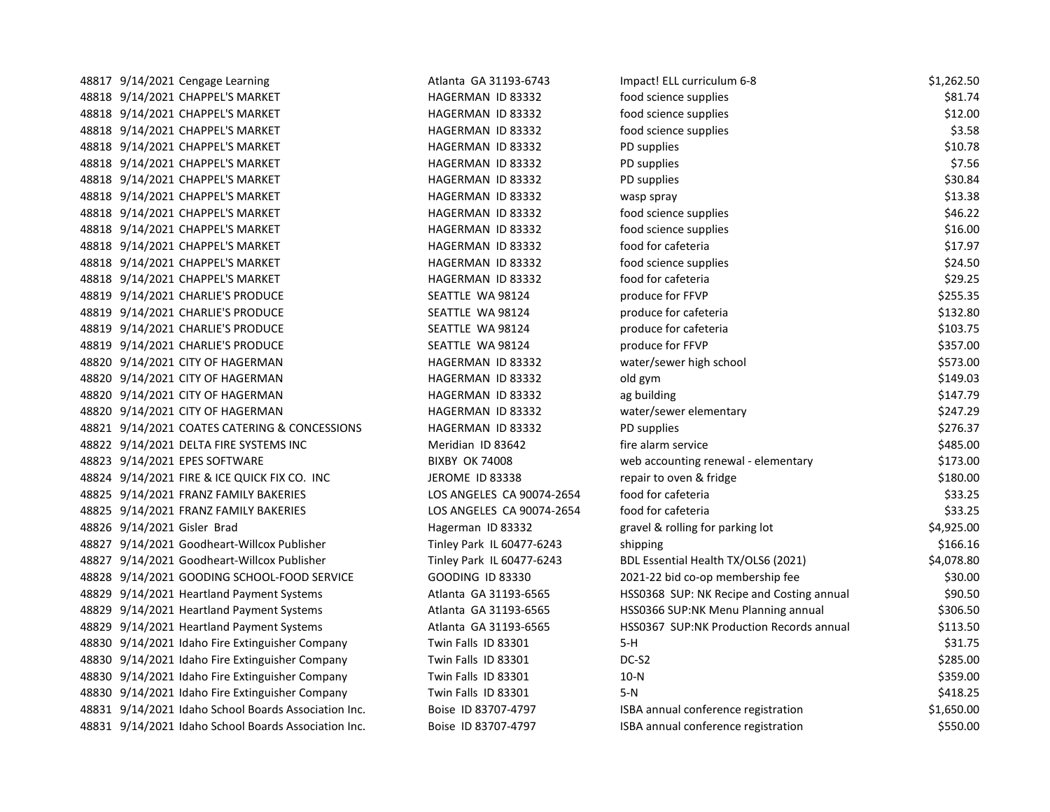| 48817 9/14/2021 Cengage Learning                     | Atlanta GA 31193-6743     | Impact! ELL curriculum 6-8                | \$1,262.50 |
|------------------------------------------------------|---------------------------|-------------------------------------------|------------|
| 48818 9/14/2021 CHAPPEL'S MARKET                     | HAGERMAN ID 83332         | food science supplies                     | \$81.74    |
| 48818 9/14/2021 CHAPPEL'S MARKET                     | HAGERMAN ID 83332         | food science supplies                     | \$12.00    |
| 48818 9/14/2021 CHAPPEL'S MARKET                     | HAGERMAN ID 83332         | food science supplies                     | \$3.58     |
| 48818 9/14/2021 CHAPPEL'S MARKET                     | HAGERMAN ID 83332         | PD supplies                               | \$10.78    |
| 48818 9/14/2021 CHAPPEL'S MARKET                     | HAGERMAN ID 83332         | PD supplies                               | \$7.56     |
| 48818 9/14/2021 CHAPPEL'S MARKET                     | HAGERMAN ID 83332         | PD supplies                               | \$30.84    |
| 48818 9/14/2021 CHAPPEL'S MARKET                     | HAGERMAN ID 83332         | wasp spray                                | \$13.38    |
| 48818 9/14/2021 CHAPPEL'S MARKET                     | HAGERMAN ID 83332         | food science supplies                     | \$46.22    |
| 48818 9/14/2021 CHAPPEL'S MARKET                     | HAGERMAN ID 83332         | food science supplies                     | \$16.00    |
| 48818 9/14/2021 CHAPPEL'S MARKET                     | HAGERMAN ID 83332         | food for cafeteria                        | \$17.97    |
| 48818 9/14/2021 CHAPPEL'S MARKET                     | HAGERMAN ID 83332         | food science supplies                     | \$24.50    |
| 48818 9/14/2021 CHAPPEL'S MARKET                     | HAGERMAN ID 83332         | food for cafeteria                        | \$29.25    |
| 48819 9/14/2021 CHARLIE'S PRODUCE                    | SEATTLE WA 98124          | produce for FFVP                          | \$255.35   |
| 48819 9/14/2021 CHARLIE'S PRODUCE                    | SEATTLE WA 98124          | produce for cafeteria                     | \$132.80   |
| 48819 9/14/2021 CHARLIE'S PRODUCE                    | SEATTLE WA 98124          | produce for cafeteria                     | \$103.75   |
| 48819 9/14/2021 CHARLIE'S PRODUCE                    | SEATTLE WA 98124          | produce for FFVP                          | \$357.00   |
| 48820 9/14/2021 CITY OF HAGERMAN                     | HAGERMAN ID 83332         | water/sewer high school                   | \$573.00   |
| 48820 9/14/2021 CITY OF HAGERMAN                     | HAGERMAN ID 83332         | old gym                                   | \$149.03   |
| 48820 9/14/2021 CITY OF HAGERMAN                     | HAGERMAN ID 83332         | ag building                               | \$147.79   |
| 48820 9/14/2021 CITY OF HAGERMAN                     | HAGERMAN ID 83332         | water/sewer elementary                    | \$247.29   |
| 48821 9/14/2021 COATES CATERING & CONCESSIONS        | HAGERMAN ID 83332         | PD supplies                               | \$276.37   |
| 48822 9/14/2021 DELTA FIRE SYSTEMS INC               | Meridian ID 83642         | fire alarm service                        | \$485.00   |
| 48823 9/14/2021 EPES SOFTWARE                        | <b>BIXBY OK 74008</b>     | web accounting renewal - elementary       | \$173.00   |
| 48824 9/14/2021 FIRE & ICE QUICK FIX CO. INC         | JEROME ID 83338           | repair to oven & fridge                   | \$180.00   |
| 48825 9/14/2021 FRANZ FAMILY BAKERIES                | LOS ANGELES CA 90074-2654 | food for cafeteria                        | \$33.25    |
| 48825 9/14/2021 FRANZ FAMILY BAKERIES                | LOS ANGELES CA 90074-2654 | food for cafeteria                        | \$33.25    |
| 48826 9/14/2021 Gisler Brad                          | Hagerman ID 83332         | gravel & rolling for parking lot          | \$4,925.00 |
| 48827 9/14/2021 Goodheart-Willcox Publisher          | Tinley Park IL 60477-6243 | shipping                                  | \$166.16   |
| 48827 9/14/2021 Goodheart-Willcox Publisher          | Tinley Park IL 60477-6243 | BDL Essential Health TX/OLS6 (2021)       | \$4,078.80 |
| 48828 9/14/2021 GOODING SCHOOL-FOOD SERVICE          | GOODING ID 83330          | 2021-22 bid co-op membership fee          | \$30.00    |
| 48829 9/14/2021 Heartland Payment Systems            | Atlanta GA 31193-6565     | HSS0368 SUP: NK Recipe and Costing annual | \$90.50    |
| 48829 9/14/2021 Heartland Payment Systems            | Atlanta GA 31193-6565     | HSS0366 SUP:NK Menu Planning annual       | \$306.50   |
| 48829 9/14/2021 Heartland Payment Systems            | Atlanta GA 31193-6565     | HSS0367 SUP:NK Production Records annual  | \$113.50   |
| 48830 9/14/2021 Idaho Fire Extinguisher Company      | Twin Falls ID 83301       | 5-H                                       | \$31.75    |
| 48830 9/14/2021 Idaho Fire Extinguisher Company      | Twin Falls ID 83301       | DC-S2                                     | \$285.00   |
| 48830 9/14/2021 Idaho Fire Extinguisher Company      | Twin Falls ID 83301       | $10-N$                                    | \$359.00   |
| 48830 9/14/2021 Idaho Fire Extinguisher Company      | Twin Falls ID 83301       | 5-N                                       | \$418.25   |
| 48831 9/14/2021 Idaho School Boards Association Inc. | Boise ID 83707-4797       | ISBA annual conference registration       | \$1,650.00 |
| 48831 9/14/2021 Idaho School Boards Association Inc. | Boise ID 83707-4797       | ISBA annual conference registration       | \$550.00   |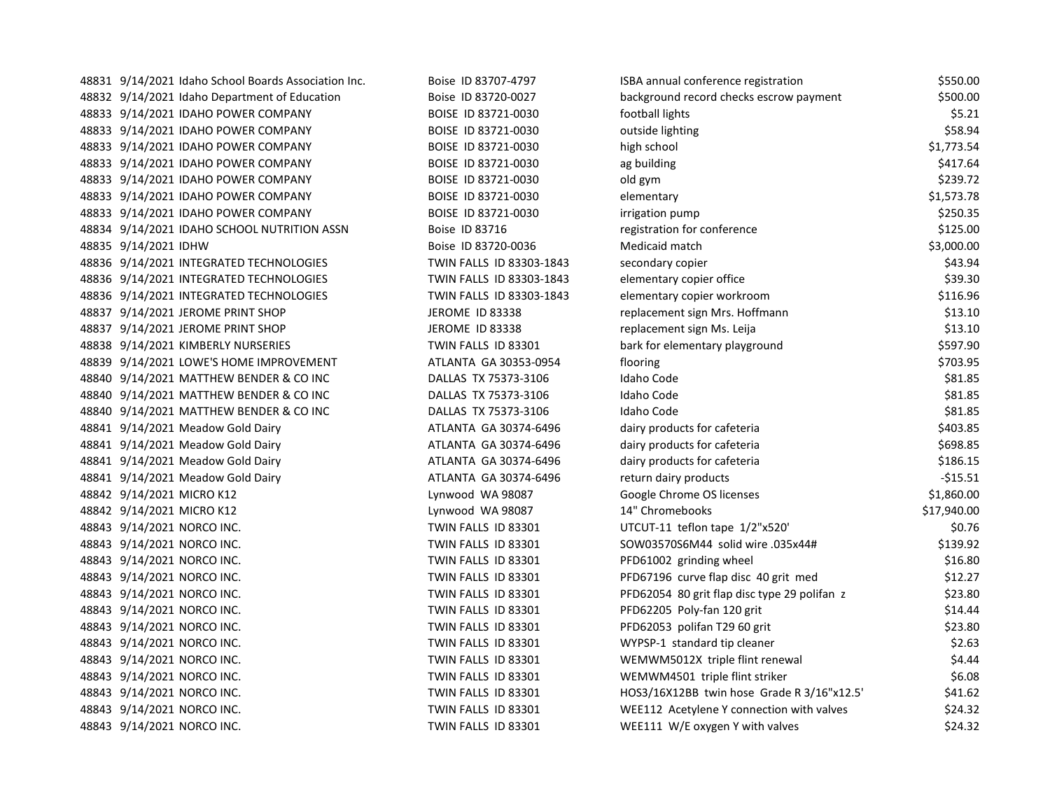| 48831 9/14/2021 Idaho School Boards Association Inc. | Boise ID 83707-4797      | ISBA annual conference registration          | \$550.00    |
|------------------------------------------------------|--------------------------|----------------------------------------------|-------------|
| 48832 9/14/2021 Idaho Department of Education        | Boise ID 83720-0027      | background record checks escrow payment      | \$500.00    |
| 48833 9/14/2021 IDAHO POWER COMPANY                  | BOISE ID 83721-0030      | football lights                              | \$5.21      |
| 48833 9/14/2021 IDAHO POWER COMPANY                  | BOISE ID 83721-0030      | outside lighting                             | \$58.94     |
| 48833 9/14/2021 IDAHO POWER COMPANY                  | BOISE ID 83721-0030      | high school                                  | \$1,773.54  |
| 48833 9/14/2021 IDAHO POWER COMPANY                  | BOISE ID 83721-0030      | ag building                                  | \$417.64    |
| 48833 9/14/2021 IDAHO POWER COMPANY                  | BOISE ID 83721-0030      | old gym                                      | \$239.72    |
| 48833 9/14/2021 IDAHO POWER COMPANY                  | BOISE ID 83721-0030      | elementary                                   | \$1,573.78  |
| 48833 9/14/2021 IDAHO POWER COMPANY                  | BOISE ID 83721-0030      | irrigation pump                              | \$250.35    |
| 48834 9/14/2021 IDAHO SCHOOL NUTRITION ASSN          | Boise ID 83716           | registration for conference                  | \$125.00    |
| 48835 9/14/2021 IDHW                                 | Boise ID 83720-0036      | Medicaid match                               | \$3,000.00  |
| 48836 9/14/2021 INTEGRATED TECHNOLOGIES              | TWIN FALLS ID 83303-1843 | secondary copier                             | \$43.94     |
| 48836 9/14/2021 INTEGRATED TECHNOLOGIES              | TWIN FALLS ID 83303-1843 | elementary copier office                     | \$39.30     |
| 48836 9/14/2021 INTEGRATED TECHNOLOGIES              | TWIN FALLS ID 83303-1843 | elementary copier workroom                   | \$116.96    |
| 48837 9/14/2021 JEROME PRINT SHOP                    | <b>JEROME ID 83338</b>   | replacement sign Mrs. Hoffmann               | \$13.10     |
| 48837 9/14/2021 JEROME PRINT SHOP                    | JEROME ID 83338          | replacement sign Ms. Leija                   | \$13.10     |
| 48838 9/14/2021 KIMBERLY NURSERIES                   | TWIN FALLS ID 83301      | bark for elementary playground               | \$597.90    |
| 48839 9/14/2021 LOWE'S HOME IMPROVEMENT              | ATLANTA GA 30353-0954    | flooring                                     | \$703.95    |
| 48840 9/14/2021 MATTHEW BENDER & CO INC              | DALLAS TX 75373-3106     | <b>Idaho Code</b>                            | \$81.85     |
| 48840 9/14/2021 MATTHEW BENDER & CO INC              | DALLAS TX 75373-3106     | Idaho Code                                   | \$81.85     |
| 48840 9/14/2021 MATTHEW BENDER & CO INC              | DALLAS TX 75373-3106     | <b>Idaho Code</b>                            | \$81.85     |
| 48841 9/14/2021 Meadow Gold Dairy                    | ATLANTA GA 30374-6496    | dairy products for cafeteria                 | \$403.85    |
| 48841 9/14/2021 Meadow Gold Dairy                    | ATLANTA GA 30374-6496    | dairy products for cafeteria                 | \$698.85    |
| 48841 9/14/2021 Meadow Gold Dairy                    | ATLANTA GA 30374-6496    | dairy products for cafeteria                 | \$186.15    |
| 48841 9/14/2021 Meadow Gold Dairy                    | ATLANTA GA 30374-6496    | return dairy products                        | $-$15.51$   |
| 48842 9/14/2021 MICRO K12                            | Lynwood WA 98087         | Google Chrome OS licenses                    | \$1,860.00  |
| 48842 9/14/2021 MICRO K12                            | Lynwood WA 98087         | 14" Chromebooks                              | \$17,940.00 |
| 48843 9/14/2021 NORCO INC.                           | TWIN FALLS ID 83301      | UTCUT-11 teflon tape 1/2"x520'               | \$0.76      |
| 48843 9/14/2021 NORCO INC.                           | TWIN FALLS ID 83301      | SOW03570S6M44 solid wire .035x44#            | \$139.92    |
| 48843 9/14/2021 NORCO INC.                           | TWIN FALLS ID 83301      | PFD61002 grinding wheel                      | \$16.80     |
| 48843 9/14/2021 NORCO INC.                           | TWIN FALLS ID 83301      | PFD67196 curve flap disc 40 grit med         | \$12.27     |
| 48843 9/14/2021 NORCO INC.                           | TWIN FALLS ID 83301      | PFD62054 80 grit flap disc type 29 polifan z | \$23.80     |
| 48843 9/14/2021 NORCO INC.                           | TWIN FALLS ID 83301      | PFD62205 Poly-fan 120 grit                   | \$14.44     |
| 48843 9/14/2021 NORCO INC.                           | TWIN FALLS ID 83301      | PFD62053 polifan T29 60 grit                 | \$23.80     |
| 48843 9/14/2021 NORCO INC.                           | TWIN FALLS ID 83301      | WYPSP-1 standard tip cleaner                 | \$2.63      |
| 48843 9/14/2021 NORCO INC.                           | TWIN FALLS ID 83301      | WEMWM5012X triple flint renewal              | \$4.44      |
| 48843 9/14/2021 NORCO INC.                           | TWIN FALLS ID 83301      | WEMWM4501 triple flint striker               | \$6.08\$    |
| 48843 9/14/2021 NORCO INC.                           | TWIN FALLS ID 83301      | HOS3/16X12BB twin hose Grade R 3/16"x12.5'   | \$41.62     |
| 48843 9/14/2021 NORCO INC.                           | TWIN FALLS ID 83301      | WEE112 Acetylene Y connection with valves    | \$24.32     |
| 48843 9/14/2021 NORCO INC.                           | TWIN FALLS ID 83301      | WEE111 W/E oxygen Y with valves              | \$24.32     |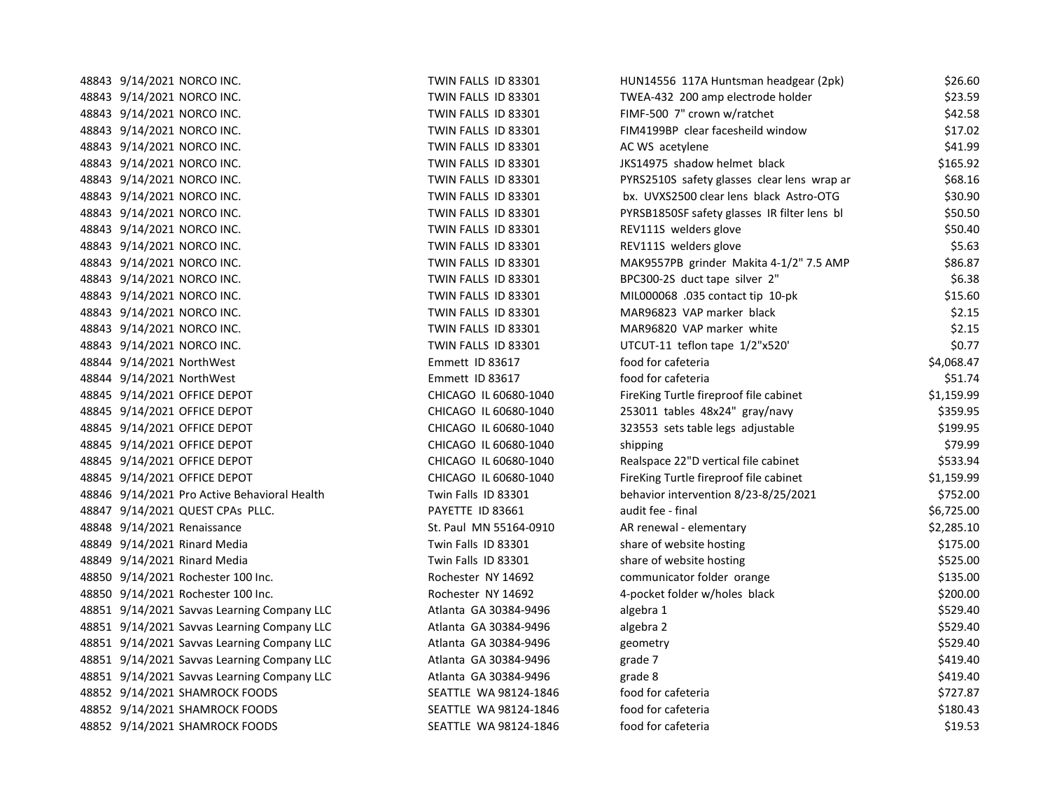| 48843 9/14/2021 NORCO INC.                   | TWIN FALLS ID 83301    | HUN14556 117A Huntsman headgear (2pk)        | \$26.60    |
|----------------------------------------------|------------------------|----------------------------------------------|------------|
| 48843 9/14/2021 NORCO INC.                   | TWIN FALLS ID 83301    | TWEA-432 200 amp electrode holder            | \$23.59    |
| 48843 9/14/2021 NORCO INC.                   | TWIN FALLS ID 83301    | FIMF-500 7" crown w/ratchet                  | \$42.58    |
| 48843 9/14/2021 NORCO INC.                   | TWIN FALLS ID 83301    | FIM4199BP clear facesheild window            | \$17.02    |
| 48843 9/14/2021 NORCO INC.                   | TWIN FALLS ID 83301    | AC WS acetylene                              | \$41.99    |
| 48843 9/14/2021 NORCO INC.                   | TWIN FALLS ID 83301    | JKS14975 shadow helmet black                 | \$165.92   |
| 48843 9/14/2021 NORCO INC.                   | TWIN FALLS ID 83301    | PYRS2510S safety glasses clear lens wrap ar  | \$68.16    |
| 48843 9/14/2021 NORCO INC.                   | TWIN FALLS ID 83301    | bx. UVXS2500 clear lens black Astro-OTG      | \$30.90    |
| 48843 9/14/2021 NORCO INC.                   | TWIN FALLS ID 83301    | PYRSB1850SF safety glasses IR filter lens bl | \$50.50    |
| 48843 9/14/2021 NORCO INC.                   | TWIN FALLS ID 83301    | REV111S welders glove                        | \$50.40    |
| 48843 9/14/2021 NORCO INC.                   | TWIN FALLS ID 83301    | REV111S welders glove                        | \$5.63     |
| 48843 9/14/2021 NORCO INC.                   | TWIN FALLS ID 83301    | MAK9557PB grinder Makita 4-1/2" 7.5 AMP      | \$86.87    |
| 48843 9/14/2021 NORCO INC.                   | TWIN FALLS ID 83301    | BPC300-2S duct tape silver 2"                | \$6.38     |
| 48843 9/14/2021 NORCO INC.                   | TWIN FALLS ID 83301    | MIL000068 .035 contact tip 10-pk             | \$15.60    |
| 48843 9/14/2021 NORCO INC.                   | TWIN FALLS ID 83301    | MAR96823 VAP marker black                    | \$2.15     |
| 48843 9/14/2021 NORCO INC.                   | TWIN FALLS ID 83301    | MAR96820 VAP marker white                    | \$2.15     |
| 48843 9/14/2021 NORCO INC.                   | TWIN FALLS ID 83301    | UTCUT-11 teflon tape 1/2"x520"               | \$0.77     |
| 48844 9/14/2021 NorthWest                    | Emmett ID 83617        | food for cafeteria                           | \$4,068.47 |
| 48844 9/14/2021 NorthWest                    | Emmett ID 83617        | food for cafeteria                           | \$51.74    |
| 48845 9/14/2021 OFFICE DEPOT                 | CHICAGO IL 60680-1040  | FireKing Turtle fireproof file cabinet       | \$1,159.99 |
| 48845 9/14/2021 OFFICE DEPOT                 | CHICAGO IL 60680-1040  | 253011 tables 48x24" gray/navy               | \$359.95   |
| 48845 9/14/2021 OFFICE DEPOT                 | CHICAGO IL 60680-1040  | 323553 sets table legs adjustable            | \$199.95   |
| 48845 9/14/2021 OFFICE DEPOT                 | CHICAGO IL 60680-1040  | shipping                                     | \$79.99    |
| 48845 9/14/2021 OFFICE DEPOT                 | CHICAGO IL 60680-1040  | Realspace 22"D vertical file cabinet         | \$533.94   |
| 48845 9/14/2021 OFFICE DEPOT                 | CHICAGO IL 60680-1040  | FireKing Turtle fireproof file cabinet       | \$1,159.99 |
| 48846 9/14/2021 Pro Active Behavioral Health | Twin Falls ID 83301    | behavior intervention 8/23-8/25/2021         | \$752.00   |
| 48847 9/14/2021 QUEST CPAs PLLC.             | PAYETTE ID 83661       | audit fee - final                            | \$6,725.00 |
| 48848 9/14/2021 Renaissance                  | St. Paul MN 55164-0910 | AR renewal - elementary                      | \$2,285.10 |
| 48849 9/14/2021 Rinard Media                 | Twin Falls ID 83301    | share of website hosting                     | \$175.00   |
| 48849 9/14/2021 Rinard Media                 | Twin Falls ID 83301    | share of website hosting                     | \$525.00   |
| 48850 9/14/2021 Rochester 100 Inc.           | Rochester NY 14692     | communicator folder orange                   | \$135.00   |
| 48850 9/14/2021 Rochester 100 Inc.           | Rochester NY 14692     | 4-pocket folder w/holes black                | \$200.00   |
| 48851 9/14/2021 Savvas Learning Company LLC  | Atlanta GA 30384-9496  | algebra 1                                    | \$529.40   |
| 48851 9/14/2021 Savvas Learning Company LLC  | Atlanta GA 30384-9496  | algebra 2                                    | \$529.40   |
| 48851 9/14/2021 Savvas Learning Company LLC  | Atlanta GA 30384-9496  | geometry                                     | \$529.40   |
| 48851 9/14/2021 Savvas Learning Company LLC  | Atlanta GA 30384-9496  | grade 7                                      | \$419.40   |
| 48851 9/14/2021 Savvas Learning Company LLC  | Atlanta GA 30384-9496  | grade 8                                      | \$419.40   |
| 48852 9/14/2021 SHAMROCK FOODS               | SEATTLE WA 98124-1846  | food for cafeteria                           | \$727.87   |
| 48852 9/14/2021 SHAMROCK FOODS               | SEATTLE WA 98124-1846  | food for cafeteria                           | \$180.43   |
| 48852 9/14/2021 SHAMROCK FOODS               | SEATTLE WA 98124-1846  | food for cafeteria                           | \$19.53    |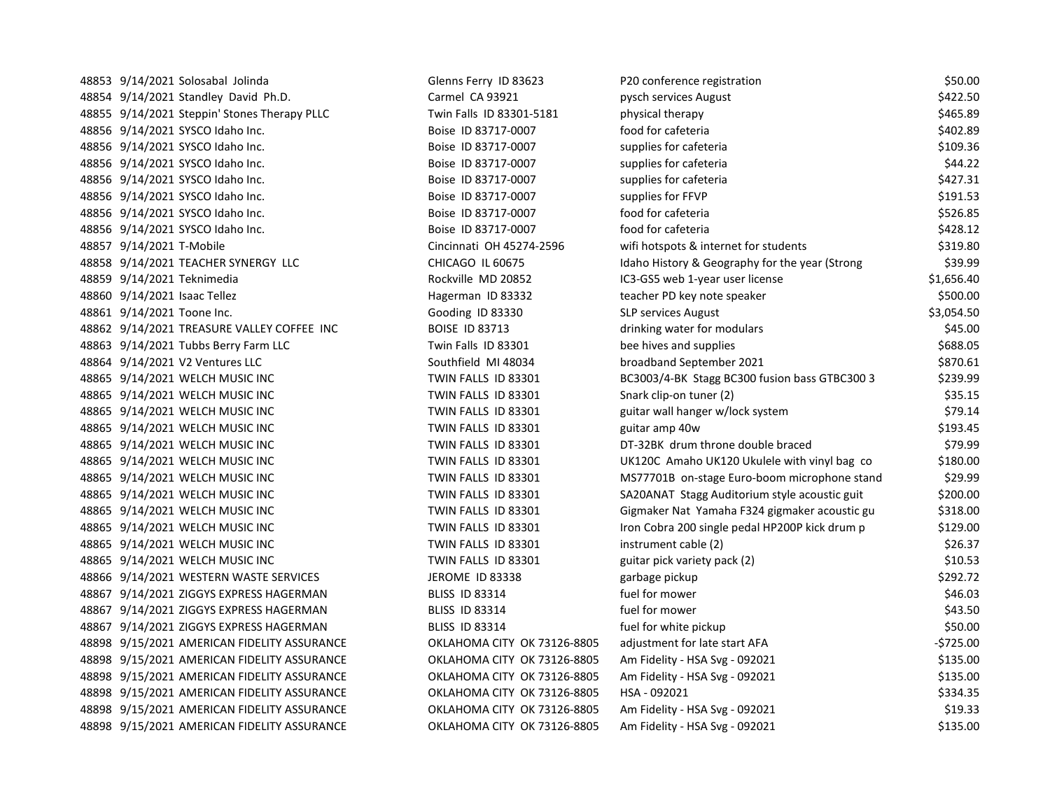48853 9/14/2021 Solosabal Jolinda Glenns Ferry ID 83623 P 48854 9/14/2021 Standley David Ph.D. Carmel CA 93921 pysch services August \$422.500 pysch services August \$422 48855 9/14/2021 Steppin' Stones Therapy PLLC Twin Falls ID 83301-5181 physical therapy  $PCL$ 48856 9/14/2021 SYSCO Idaho Inc. 6 and for care in Boise ID 83717-0007 for care for care for care for care for 48856 9/14/2021 SYSCO Idaho Inc. 6 and capacity in the Boise ID 83717-0007 48856 9/14/2021 SYSCO Idaho Inc. and a supplies for care in Boise ID 83717-0007 supplies for care in the state o 48856 9/14/2021 SYSCO Idaho Inc. 6 and capacity in the Boise ID 83717-0007 48856 9/14/2021 SYSCO Idaho Inc. https://www.boise ID 83717-0007 supplies for FFVP \$191.533.5354.533.533.533.5 48856 9/14/2021 SYSCO Idaho Inc. both care in the Boise ID 83717-0007 for care for care for care for care for c 48856 9/14/2021 SYSCO Idaho Inc. And found the case in Boise ID 83717-0007 for careful for careful for careful f 48857 9/14/2021 T-Mobile **Wifi hotspots & internet for students and students internet for students and students**  $\sqrt{31812}$ 48858 9/14/2021 TEACHER SYNERGY LLC CHICAGO IL 60675 IDAHO HISTORY FOR THE YEAR (STRONG & GEOGRAPHY FOR THE Y 48859 9/14/2021 Teknimedia **Rockville MD 20852** I 48860 9/14/2021 Isaac Tellez Hagerman ID 83332 teacher 8500.000 teacher PD key note speaker and the speaker speaker  $t$ 48861 9/14/2021 Toone Inc. Supervices August 3,054.500 Supervices August \$3,054.500 S 48862 9/14/2021 TREASURE VALLEY COFFEE INC BOISE ID 83713 48863 9/14/2021 Tubbs Berry Farm LLC Twin Falls ID 83301 between his supplies and supplies and supplies and su 48864 9/14/2021 V2 Ventures LLC Southfield MI 48034 broadband September 2021 \$870.61 48865 9/14/2021 WELCH MUSIC INC **CONSIDER STAGG BC300 FUSION BC300 BC300 b** 48865 9/14/2021 WELCH MUSIC INC **TWIN FALLS ID 83301** S 48865 9/14/2021 WELCH MUSIC INC TWIN FALLS ID 83301 guitar wall hanger w/lock system \$79.14 48865 9/14/2021 WELCH MUSIC INC TWIN FALLS ID 83301 48865 9/14/2021 WELCH MUSIC INC TWIN FALLS ID 83301 48865 9/14/2021 WELCH MUSIC INC **NAME CONSIDER TWIN FALLS ID 83301** 48865 9/14/2021 WELCH MUSIC INC **TWIN FALLS ID 83301** 48865 9/14/2021 WELCH MUSIC INC TWIN FALLS ID 83301 48865 9/14/2021 WELCH MUSIC INC Gigma Face TWIN FALLS ID 83301 Giga Giga Gu & Cou 48865 9/14/2021 WELCH MUSIC INC **TWIN FALLS ID 83301** 48865 9/14/2021 WELCH MUSIC INC **TWIN FALLS ID 83301** 48865 9/14/2021 WELCH MUSIC INC TWIN FALLS ID 83301 48866 9/14/2021 WESTERN WASTE SERVICES JEROME ID 83338 garbage pickup \$292.72 48867 9/14/2021 ZIGGYS EXPRESS HAGERMAN BLISS ID 83314 f 48867 9/14/2021 ZIGGYS EXPRESS HAGERMAN BLISS ID 83314 f 48867 9/14/2021 ZIGGYS EXPRESS HAGERMAN BLISS ID 83314 fuel for white pickup \$50.00 48898 9/15/2021 AMERICAN FIDELITY ASSURANCE **CONTROL CONTROL OKLAHOMA CITY OK 73126-8805** a 48898 9/15/2021 AMERICAN FIDELITY ASSURANCE **OKLAHOMA CITY OK 73126-8805** A 48898 9/15/2021 AMERICAN FIDELITY ASSURANCE **OKLAHOMA CITY OK 73126-8805** A 48898 9/15/2021 AMERICAN FIDELITY ASSURANCE OKLAHOMA CITY OK 73126-8805 H 48898 9/15/2021 AMERICAN FIDELITY ASSURANCE OKLAHOMA CITY OK 73126-8805 A 48898 9/15/2021 AMERICAN FIDELITY ASSURANCE **OKLAHOMA CITY OK 73126-8805** A

| 20 conference registration                    | \$50.00    |
|-----------------------------------------------|------------|
| oysch services August                         | \$422.50   |
| hysical therapy                               | \$465.89   |
| ood for cafeteria                             | \$402.89   |
| upplies for cafeteria                         | \$109.36   |
| upplies for cafeteria                         | \$44.22    |
| upplies for cafeteria                         | \$427.31   |
| upplies for FFVP                              | \$191.53   |
| ood for cafeteria                             | \$526.85   |
| ood for cafeteria                             | \$428.12   |
| wifi hotspots & internet for students         | \$319.80   |
| daho History & Geography for the year (Strong | \$39.99    |
| C3-GS5 web 1-year user license                | \$1,656.40 |
| eacher PD key note speaker                    | \$500.00   |
| <b>SLP services August</b>                    | \$3,054.50 |
| Irinking water for modulars                   | \$45.00    |
| bee hives and supplies                        | \$688.05   |
| proadband September 2021                      | \$870.61   |
| 3C3003/4-BK Stagg BC300 fusion bass GTBC300 3 | \$239.99   |
| Snark clip-on tuner (2)                       | \$35.15    |
| uitar wall hanger w/lock system               | \$79.14    |
| uitar amp 40w                                 | \$193.45   |
| OT-32BK drum throne double braced             | \$79.99    |
| JK120C Amaho UK120 Ukulele with vinyl bag co  | \$180.00   |
| MS77701B on-stage Euro-boom microphone stand  | \$29.99    |
| A20ANAT Stagg Auditorium style acoustic guit  | \$200.00   |
| Gigmaker Nat Yamaha F324 gigmaker acoustic gu | \$318.00   |
| ron Cobra 200 single pedal HP200P kick drum p | \$129.00   |
| nstrument cable (2)                           | \$26.37    |
| zuitar pick variety pack (2)                  | \$10.53    |
| zarbage pickup                                | \$292.72   |
| uel for mower                                 | \$46.03    |
| uel for mower                                 | \$43.50    |
| uel for white pickup                          | \$50.00    |
| djustment for late start AFA                  | $-$725.00$ |
| Am Fidelity - HSA Svg - 092021                | \$135.00   |
| Am Fidelity - HSA Svg - 092021                | \$135.00   |
| ISA - 092021                                  | \$334.35   |
| Am Fidelity - HSA Svg - 092021                | \$19.33    |
| Am Fidelity - HSA Svg - 092021                | \$135.00   |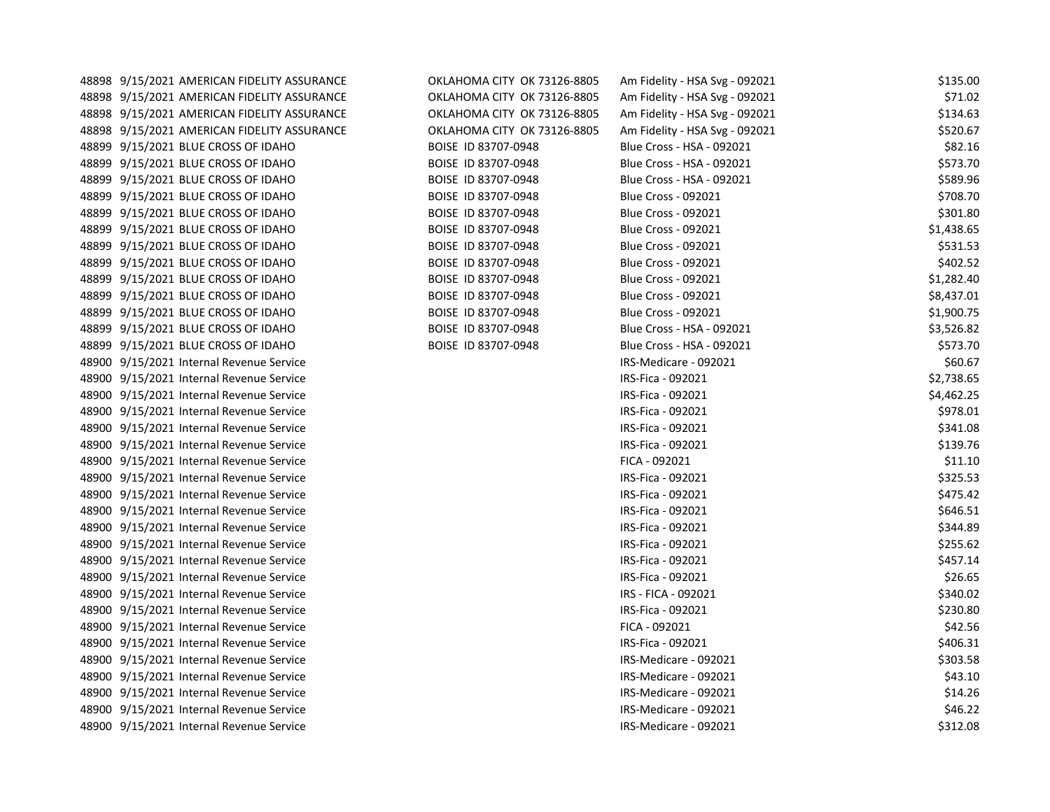| 48898 9/15/2021 AMERICAN FIDELITY ASSURANCE | OKLAHOMA CITY OK 73126-8805 | Am Fidelity - HSA Svg - 092021 | \$135.00   |
|---------------------------------------------|-----------------------------|--------------------------------|------------|
| 48898 9/15/2021 AMERICAN FIDELITY ASSURANCE | OKLAHOMA CITY OK 73126-8805 | Am Fidelity - HSA Svg - 092021 | \$71.02    |
| 48898 9/15/2021 AMERICAN FIDELITY ASSURANCE | OKLAHOMA CITY OK 73126-8805 | Am Fidelity - HSA Svg - 092021 | \$134.63   |
| 48898 9/15/2021 AMERICAN FIDELITY ASSURANCE | OKLAHOMA CITY OK 73126-8805 | Am Fidelity - HSA Svg - 092021 | \$520.67   |
| 48899 9/15/2021 BLUE CROSS OF IDAHO         | BOISE ID 83707-0948         | Blue Cross - HSA - 092021      | \$82.16    |
| 48899 9/15/2021 BLUE CROSS OF IDAHO         | BOISE ID 83707-0948         | Blue Cross - HSA - 092021      | \$573.70   |
| 48899 9/15/2021 BLUE CROSS OF IDAHO         | BOISE ID 83707-0948         | Blue Cross - HSA - 092021      | \$589.96   |
| 48899 9/15/2021 BLUE CROSS OF IDAHO         | BOISE ID 83707-0948         | <b>Blue Cross - 092021</b>     | \$708.70   |
| 48899 9/15/2021 BLUE CROSS OF IDAHO         | BOISE ID 83707-0948         | <b>Blue Cross - 092021</b>     | \$301.80   |
| 48899 9/15/2021 BLUE CROSS OF IDAHO         | BOISE ID 83707-0948         | <b>Blue Cross - 092021</b>     | \$1,438.65 |
| 48899 9/15/2021 BLUE CROSS OF IDAHO         | BOISE ID 83707-0948         | <b>Blue Cross - 092021</b>     | \$531.53   |
| 48899 9/15/2021 BLUE CROSS OF IDAHO         | BOISE ID 83707-0948         | <b>Blue Cross - 092021</b>     | \$402.52   |
| 48899 9/15/2021 BLUE CROSS OF IDAHO         | BOISE ID 83707-0948         | <b>Blue Cross - 092021</b>     | \$1,282.40 |
| 48899 9/15/2021 BLUE CROSS OF IDAHO         | BOISE ID 83707-0948         | <b>Blue Cross - 092021</b>     | \$8,437.01 |
| 48899 9/15/2021 BLUE CROSS OF IDAHO         | BOISE ID 83707-0948         | <b>Blue Cross - 092021</b>     | \$1,900.75 |
| 48899 9/15/2021 BLUE CROSS OF IDAHO         | BOISE ID 83707-0948         | Blue Cross - HSA - 092021      | \$3,526.82 |
| 48899 9/15/2021 BLUE CROSS OF IDAHO         | BOISE ID 83707-0948         | Blue Cross - HSA - 092021      | \$573.70   |
| 48900 9/15/2021 Internal Revenue Service    |                             | IRS-Medicare - 092021          | \$60.67    |
| 48900 9/15/2021 Internal Revenue Service    |                             | IRS-Fica - 092021              | \$2,738.65 |
| 48900 9/15/2021 Internal Revenue Service    |                             | IRS-Fica - 092021              | \$4,462.25 |
| 48900 9/15/2021 Internal Revenue Service    |                             | IRS-Fica - 092021              | \$978.01   |
| 48900 9/15/2021 Internal Revenue Service    |                             | IRS-Fica - 092021              | \$341.08   |
| 48900 9/15/2021 Internal Revenue Service    |                             | IRS-Fica - 092021              | \$139.76   |
| 48900 9/15/2021 Internal Revenue Service    |                             | FICA - 092021                  | \$11.10    |
| 48900 9/15/2021 Internal Revenue Service    |                             | IRS-Fica - 092021              | \$325.53   |
| 48900 9/15/2021 Internal Revenue Service    |                             | IRS-Fica - 092021              | \$475.42   |
| 48900 9/15/2021 Internal Revenue Service    |                             | IRS-Fica - 092021              | \$646.51   |
| 48900 9/15/2021 Internal Revenue Service    |                             | IRS-Fica - 092021              | \$344.89   |
| 48900 9/15/2021 Internal Revenue Service    |                             | IRS-Fica - 092021              | \$255.62   |
| 48900 9/15/2021 Internal Revenue Service    |                             | IRS-Fica - 092021              | \$457.14   |
| 48900 9/15/2021 Internal Revenue Service    |                             | IRS-Fica - 092021              | \$26.65    |
| 48900 9/15/2021 Internal Revenue Service    |                             | IRS - FICA - 092021            | \$340.02   |
| 48900 9/15/2021 Internal Revenue Service    |                             | IRS-Fica - 092021              | \$230.80   |
| 48900 9/15/2021 Internal Revenue Service    |                             | FICA - 092021                  | \$42.56    |
| 48900 9/15/2021 Internal Revenue Service    |                             | IRS-Fica - 092021              | \$406.31   |
| 48900 9/15/2021 Internal Revenue Service    |                             | IRS-Medicare - 092021          | \$303.58   |
| 48900 9/15/2021 Internal Revenue Service    |                             | IRS-Medicare - 092021          | \$43.10    |
| 48900 9/15/2021 Internal Revenue Service    |                             | IRS-Medicare - 092021          | \$14.26    |
| 48900 9/15/2021 Internal Revenue Service    |                             | IRS-Medicare - 092021          | \$46.22    |
| 48900 9/15/2021 Internal Revenue Service    |                             | IRS-Medicare - 092021          | \$312.08   |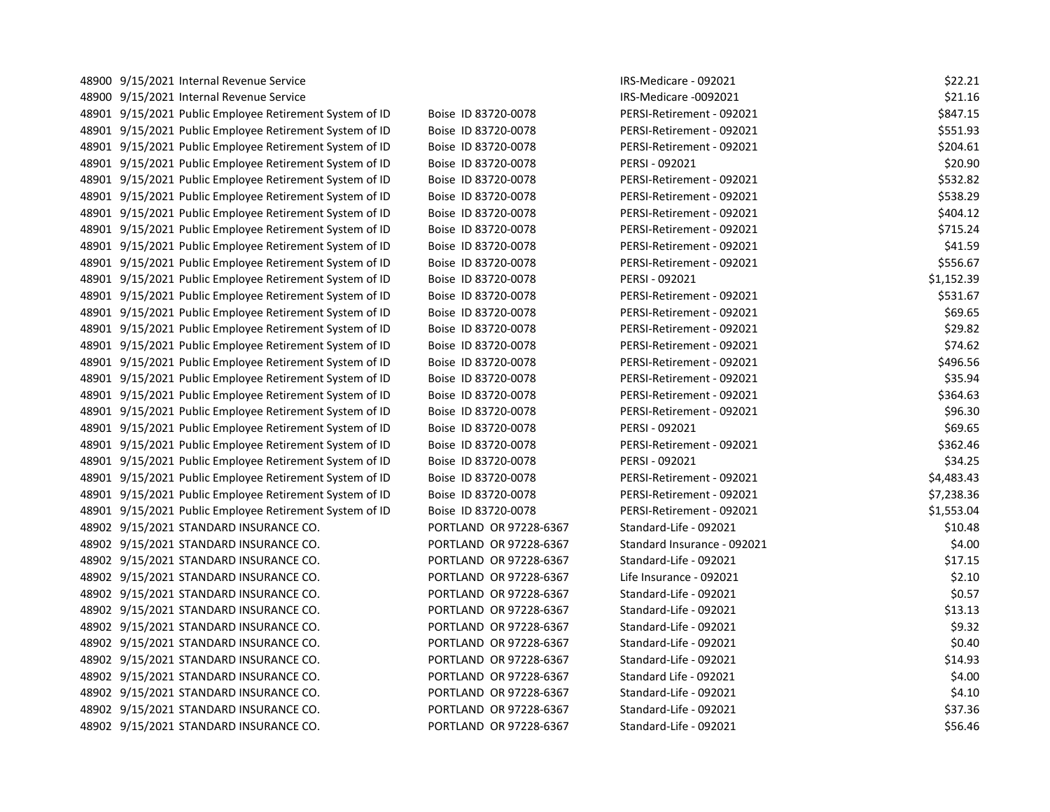| 48900 9/15/2021 Internal Revenue Service                |                        | IRS-Medicare - 092021       | \$22.21    |
|---------------------------------------------------------|------------------------|-----------------------------|------------|
| 48900 9/15/2021 Internal Revenue Service                |                        | IRS-Medicare -0092021       | \$21.16    |
| 48901 9/15/2021 Public Employee Retirement System of ID | Boise ID 83720-0078    | PERSI-Retirement - 092021   | \$847.15   |
| 48901 9/15/2021 Public Employee Retirement System of ID | Boise ID 83720-0078    | PERSI-Retirement - 092021   | \$551.93   |
| 48901 9/15/2021 Public Employee Retirement System of ID | Boise ID 83720-0078    | PERSI-Retirement - 092021   | \$204.61   |
| 48901 9/15/2021 Public Employee Retirement System of ID | Boise ID 83720-0078    | PERSI - 092021              | \$20.90    |
| 48901 9/15/2021 Public Employee Retirement System of ID | Boise ID 83720-0078    | PERSI-Retirement - 092021   | \$532.82   |
| 48901 9/15/2021 Public Employee Retirement System of ID | Boise ID 83720-0078    | PERSI-Retirement - 092021   | \$538.29   |
| 48901 9/15/2021 Public Employee Retirement System of ID | Boise ID 83720-0078    | PERSI-Retirement - 092021   | \$404.12   |
| 48901 9/15/2021 Public Employee Retirement System of ID | Boise ID 83720-0078    | PERSI-Retirement - 092021   | \$715.24   |
| 48901 9/15/2021 Public Employee Retirement System of ID | Boise ID 83720-0078    | PERSI-Retirement - 092021   | \$41.59    |
| 48901 9/15/2021 Public Employee Retirement System of ID | Boise ID 83720-0078    | PERSI-Retirement - 092021   | \$556.67   |
| 48901 9/15/2021 Public Employee Retirement System of ID | Boise ID 83720-0078    | PERSI - 092021              | \$1,152.39 |
| 48901 9/15/2021 Public Employee Retirement System of ID | Boise ID 83720-0078    | PERSI-Retirement - 092021   | \$531.67   |
| 48901 9/15/2021 Public Employee Retirement System of ID | Boise ID 83720-0078    | PERSI-Retirement - 092021   | \$69.65    |
| 48901 9/15/2021 Public Employee Retirement System of ID | Boise ID 83720-0078    | PERSI-Retirement - 092021   | \$29.82    |
| 48901 9/15/2021 Public Employee Retirement System of ID | Boise ID 83720-0078    | PERSI-Retirement - 092021   | \$74.62    |
| 48901 9/15/2021 Public Employee Retirement System of ID | Boise ID 83720-0078    | PERSI-Retirement - 092021   | \$496.56   |
| 48901 9/15/2021 Public Employee Retirement System of ID | Boise ID 83720-0078    | PERSI-Retirement - 092021   | \$35.94    |
| 48901 9/15/2021 Public Employee Retirement System of ID | Boise ID 83720-0078    | PERSI-Retirement - 092021   | \$364.63   |
| 48901 9/15/2021 Public Employee Retirement System of ID | Boise ID 83720-0078    | PERSI-Retirement - 092021   | \$96.30    |
| 48901 9/15/2021 Public Employee Retirement System of ID | Boise ID 83720-0078    | PERSI - 092021              | \$69.65    |
| 48901 9/15/2021 Public Employee Retirement System of ID | Boise ID 83720-0078    | PERSI-Retirement - 092021   | \$362.46   |
| 48901 9/15/2021 Public Employee Retirement System of ID | Boise ID 83720-0078    | PERSI - 092021              | \$34.25    |
| 48901 9/15/2021 Public Employee Retirement System of ID | Boise ID 83720-0078    | PERSI-Retirement - 092021   | \$4,483.43 |
| 48901 9/15/2021 Public Employee Retirement System of ID | Boise ID 83720-0078    | PERSI-Retirement - 092021   | \$7,238.36 |
| 48901 9/15/2021 Public Employee Retirement System of ID | Boise ID 83720-0078    | PERSI-Retirement - 092021   | \$1,553.04 |
| 48902 9/15/2021 STANDARD INSURANCE CO.                  | PORTLAND OR 97228-6367 | Standard-Life - 092021      | \$10.48    |
| 48902 9/15/2021 STANDARD INSURANCE CO.                  | PORTLAND OR 97228-6367 | Standard Insurance - 092021 | \$4.00     |
| 48902 9/15/2021 STANDARD INSURANCE CO.                  | PORTLAND OR 97228-6367 | Standard-Life - 092021      | \$17.15    |
| 48902 9/15/2021 STANDARD INSURANCE CO.                  | PORTLAND OR 97228-6367 | Life Insurance - 092021     | \$2.10     |
| 48902 9/15/2021 STANDARD INSURANCE CO.                  | PORTLAND OR 97228-6367 | Standard-Life - 092021      | \$0.57     |
| 48902 9/15/2021 STANDARD INSURANCE CO.                  | PORTLAND OR 97228-6367 | Standard-Life - 092021      | \$13.13    |
| 48902 9/15/2021 STANDARD INSURANCE CO.                  | PORTLAND OR 97228-6367 | Standard-Life - 092021      | \$9.32     |
| 48902 9/15/2021 STANDARD INSURANCE CO.                  | PORTLAND OR 97228-6367 | Standard-Life - 092021      | \$0.40     |
| 48902 9/15/2021 STANDARD INSURANCE CO.                  | PORTLAND OR 97228-6367 | Standard-Life - 092021      | \$14.93    |
| 48902 9/15/2021 STANDARD INSURANCE CO.                  | PORTLAND OR 97228-6367 | Standard Life - 092021      | \$4.00     |
| 48902 9/15/2021 STANDARD INSURANCE CO.                  | PORTLAND OR 97228-6367 | Standard-Life - 092021      | \$4.10     |
| 48902 9/15/2021 STANDARD INSURANCE CO.                  | PORTLAND OR 97228-6367 | Standard-Life - 092021      | \$37.36    |
| 48902 9/15/2021 STANDARD INSURANCE CO.                  | PORTLAND OR 97228-6367 | Standard-Life - 092021      | \$56.46    |